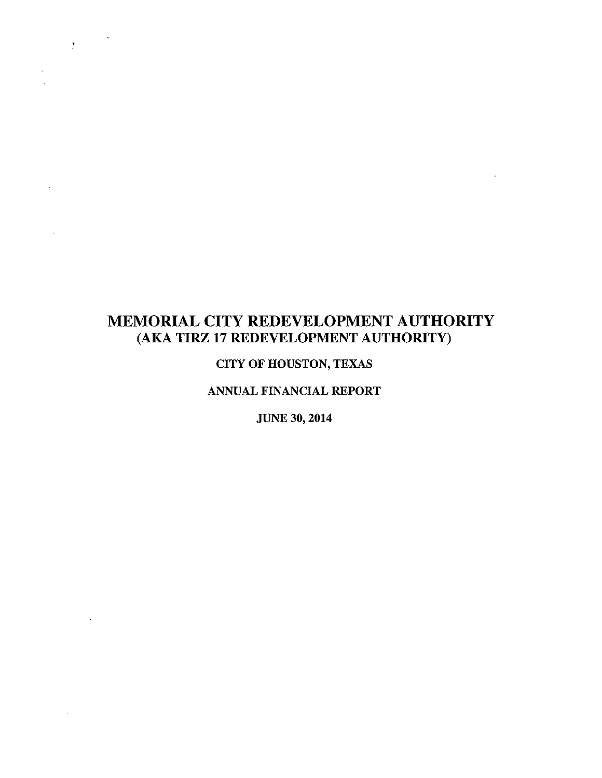## MEMORIAL CITY REDEVELOPMENT AUTHORITY (AKA TIRZ 17 REDEVELOPMENT AUTHORITY)

 $\bar{\mathbf{r}}$ 

# CITY OF HOUSTON, TEXAS

 $\sum_{i=1}^{\infty} \frac{1}{i} \sum_{i=1}^{\infty} \frac{1}{i} \sum_{i=1}^{\infty} \frac{1}{i} \sum_{i=1}^{\infty} \frac{1}{i} \sum_{i=1}^{\infty} \frac{1}{i} \sum_{i=1}^{\infty} \frac{1}{i} \sum_{i=1}^{\infty} \frac{1}{i} \sum_{i=1}^{\infty} \frac{1}{i} \sum_{i=1}^{\infty} \frac{1}{i} \sum_{i=1}^{\infty} \frac{1}{i} \sum_{i=1}^{\infty} \frac{1}{i} \sum_{i=1}^{\infty$ 

 $\overline{\phantom{a}}$ 

## ANNUAL FINANCIAL REPORT

JUNE 30, 2014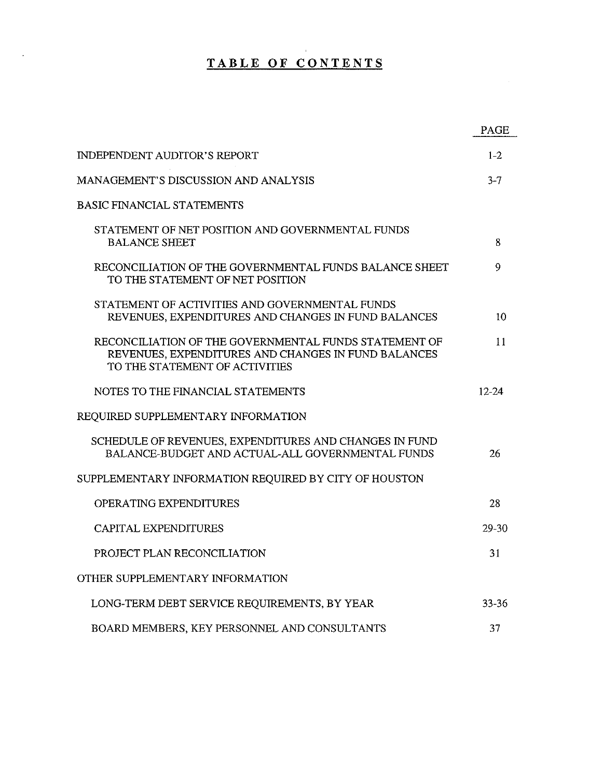# TABLE OF CONTENTS

 $\mathcal{L}(\mathcal{A})$  and  $\mathcal{L}(\mathcal{A})$ 

 $\sim 1$ 

 $\frac{1}{2} \sum_{i=1}^n \frac{1}{2} \sum_{j=1}^n \frac{1}{2} \sum_{j=1}^n \frac{1}{2} \sum_{j=1}^n \frac{1}{2} \sum_{j=1}^n \frac{1}{2} \sum_{j=1}^n \frac{1}{2} \sum_{j=1}^n \frac{1}{2} \sum_{j=1}^n \frac{1}{2} \sum_{j=1}^n \frac{1}{2} \sum_{j=1}^n \frac{1}{2} \sum_{j=1}^n \frac{1}{2} \sum_{j=1}^n \frac{1}{2} \sum_{j=1}^n \frac{1}{2} \sum_{j=$ 

|                                                                                                                                                | PAGE      |
|------------------------------------------------------------------------------------------------------------------------------------------------|-----------|
| <b>INDEPENDENT AUDITOR'S REPORT</b>                                                                                                            | $1 - 2$   |
| MANAGEMENT'S DISCUSSION AND ANALYSIS                                                                                                           | $3 - 7$   |
| <b>BASIC FINANCIAL STATEMENTS</b>                                                                                                              |           |
| STATEMENT OF NET POSITION AND GOVERNMENTAL FUNDS<br><b>BALANCE SHEET</b>                                                                       | 8         |
| RECONCILIATION OF THE GOVERNMENTAL FUNDS BALANCE SHEET<br>TO THE STATEMENT OF NET POSITION                                                     | 9         |
| STATEMENT OF ACTIVITIES AND GOVERNMENTAL FUNDS<br>REVENUES, EXPENDITURES AND CHANGES IN FUND BALANCES                                          | 10        |
| RECONCILIATION OF THE GOVERNMENTAL FUNDS STATEMENT OF<br>REVENUES, EXPENDITURES AND CHANGES IN FUND BALANCES<br>TO THE STATEMENT OF ACTIVITIES | 11        |
| NOTES TO THE FINANCIAL STATEMENTS                                                                                                              | $12 - 24$ |
| REQUIRED SUPPLEMENTARY INFORMATION                                                                                                             |           |
| SCHEDULE OF REVENUES, EXPENDITURES AND CHANGES IN FUND<br>BALANCE-BUDGET AND ACTUAL-ALL GOVERNMENTAL FUNDS                                     | 26        |
| SUPPLEMENTARY INFORMATION REQUIRED BY CITY OF HOUSTON                                                                                          |           |
| OPERATING EXPENDITURES                                                                                                                         | 28        |
| CAPITAL EXPENDITURES                                                                                                                           | 29-30     |
| PROJECT PLAN RECONCILIATION                                                                                                                    | 31        |
| OTHER SUPPLEMENTARY INFORMATION                                                                                                                |           |
| LONG-TERM DEBT SERVICE REQUIREMENTS, BY YEAR                                                                                                   | $33 - 36$ |
| BOARD MEMBERS, KEY PERSONNEL AND CONSULTANTS                                                                                                   | 37        |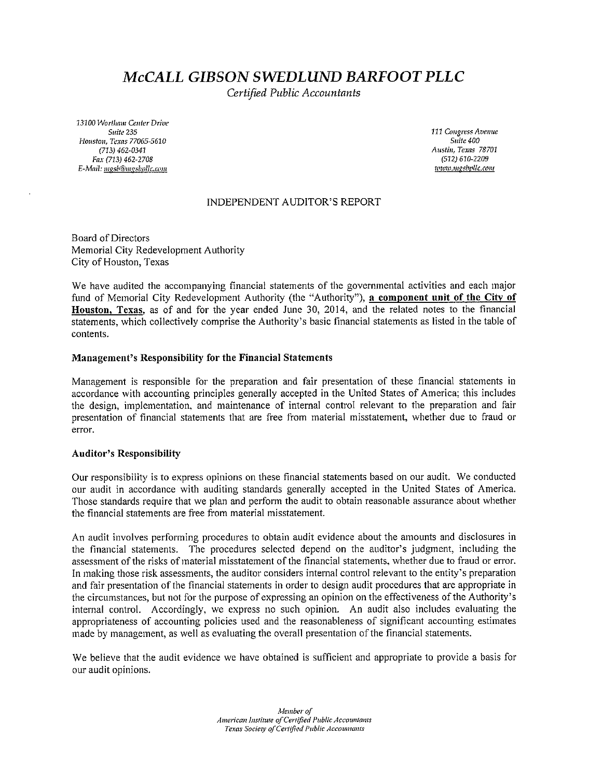## McCALL GIBSON SWEDLUND BARFOOT PLLC

Certified Public Accountants

13100 Wortham Center Drive Houston, Texas 77065-5610<br>(713) 462-0341 Fax (713) 462-2708 E-Mail: <u>mgsb@mgsbpllc.com</u> and the control of the control of the control of the control of the control of the control of the control of the control of the control of the control of the control of the control of the contro

Suite 235 111 Congress Avenue<br>Texas 77065-5610 5 11 Congress Avenue (713) 462-0341 Austin, Texas 78701

#### INDEPENDENT AUDITOR'S REPORT

Board of Directors Memorial City Redevelopment Authority City of Houston, Texas

We have audited the accompanying financial statements of the governmental activities and each major fund of Memorial City Redevelopment Authority (the "Authority"), a component unit of the City of Houston, Texas, as of and for the year ended June 30, 2014, and the related notes to the financial statements, which collectively comprise the Authority's basic financial statements as listed in the table of contents.

#### Management's Responsibility for the Financial Statements

Management is responsible for the preparation and fair presentation of these financial statements in accordance with accounting principles generally accepted in the United States of America; this includes the design, implementation, and maintenance of internal control relevant to the preparation and fair presentation of financial statements that are free from material misstatement, whether due to fraud or error.

#### Auditor's Responsibility

Our responsibility is to express opinions on these financial statements based on our audit. We conducted our audit in accordance with auditing standards generally accepted in the United States of America. Those standards require that we plan and perform the audit to obtain reasonable assurance about whether the financial statements are free from material misstatement.

An audit involves performing procedures to obtain audit evidence about the amounts and disclosures in the financial statements. The procedures selected depend on the auditor's judgment, including the assessment of the risks of material misstatement of the financial statements, whether due to fraud or error. In making those risk assessments, the auditor considers internal control relevant to the entity's preparation and fair presentation of the financial statements in order to design audit procedures that are appropriate in the circumstances, but not for the purpose of expressing an opinion on the effectiveness of the Authority's internal control. Accordingly, we express no such opinion. An audit also includes evaluating the appropriateness of accounting policies used and the reasonableness of significant accounting estimates made by management, as well as evaluating the overall presentation of the financial statements.

We believe that the audit evidence we have obtained is sufficient and appropriate to provide a basis for our audit opinions.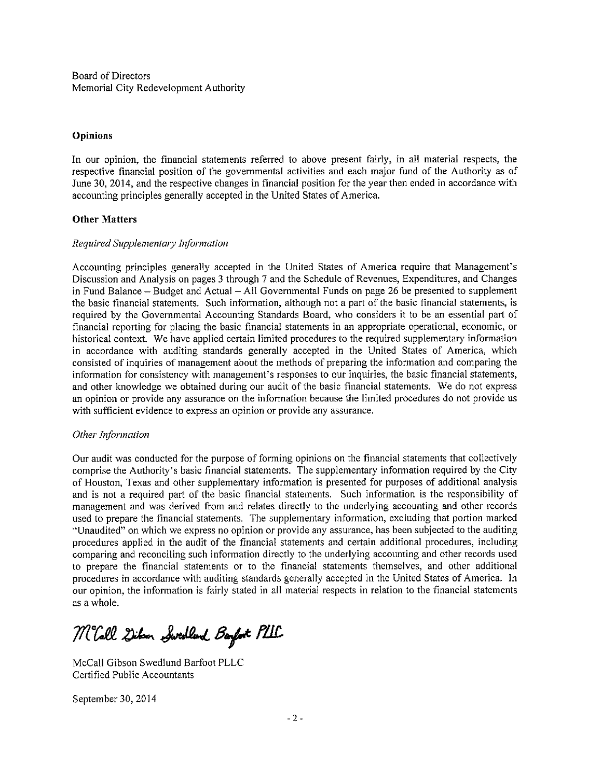#### Opinions

In our opinion, the financial statements referred to above present fairly, in all material respects, the respective financial position of the governmental activities and each major fund of the Authority as of June 30, 2014, and the respective changes in financial position for the year then ended in accordance with accounting principles generally accepted in the United States of America.

#### Other Matters

#### Required Supplementary Information

Accounting principles generally accepted in the United States of America require that Management's Discussion and Analysis on pages <sup>3</sup> through 7 and the Schedule of Revenues, Expenditures, and Changes in Fund Balance — Budget and Actual — All Governmental Funds on page 26 be presented to supplement the basic financial statements. Such information, although not a part of the basic financial statements, is required by the Governmental Accounting Standards Board, who considers it to be an essential part of financial reporting for placing the basic financial statements in an appropriate operational, economic, or historical context. We have applied certain limited procedures to the required supplementary information in accordance with auditing standards generally accepted in the United States of America, which consisted of inquiries of management about the methods of preparing the information and comparing the information for consistency with management's responses to our inquiries, the basic financial statements, and other knowledge we obtained during our audit of the basic financial statements. We do not express an opinion or provide any assurance on the information because the limited procedures do not provide us with sufficient evidence to express an opinion or provide any assurance.

#### Other Information

Our audit was conducted for the purpose of forming opinions on the financial statements that collectively comprise the Authority's basic financial statements. The supplementary information required by the City of Houston, Texas and other supplementary information is presented for purposes of additional analysis and is not a required part of the basic financial statements. Such information is the responsibility of management and was derived from and relates directly to the underlying accounting and other records used to prepare the financial statements. The supplementary information, excluding that portion marked "Unaudited" on which we express no opinion or provide any assurance, has been subjected to the auditing procedures applied in the audit of the financial statements and certain additional procedures, including comparing and reconciling such infonnation directly to the underlying accounting and other records used to prepare the financial statements or to the financial statements themselves, and other additional procedures in accordance with auditing standards generally accepted in the United States of America. In our opinion, the information is fairly stated in all material respects in relation to the financial statements as a whole. our opinion, the information is fairly state<br>as a whole.<br>**McCall Gibson Swedland Barfort**<br>McCall Gibson Swedlund Barfoot PLLC

<u>puc</u>

McCall Gibson Swedlund Barfoot PLLC Certified Public Accountants

September30, 2014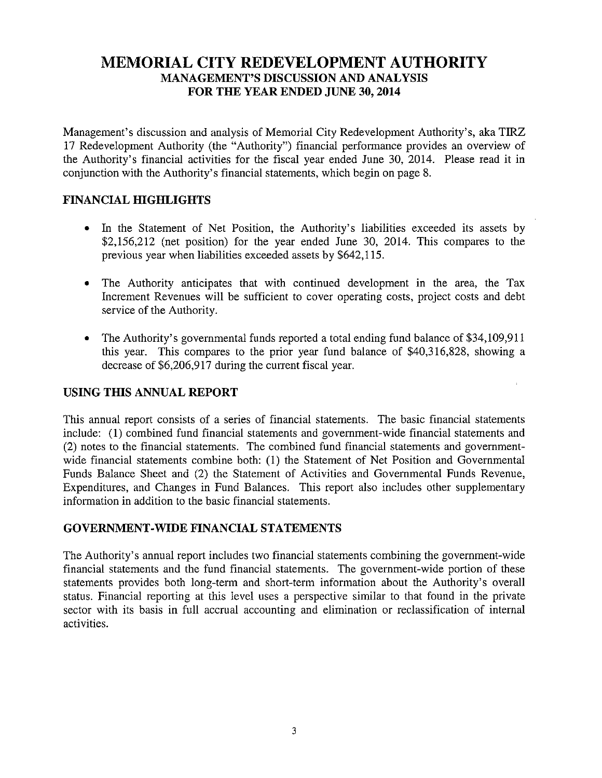Management's discussion and analysis of Memorial City Redevelopment Authority's, aka TIRZ 17 Redevelopment Authority (the "Authority") financial performance provides an overview of the Authority's financial activities for the fiscal year ended June 30, 2014. Please read it in conjunction with the Authority's financial statements, which begin on page 8.

## FINANCIAL HIGHLIGHTS

- In the Statement of Net Position, the Authority's liabilities exceeded its assets by \$2,156,212 (net position) for the year ended June 30, 2014. This compares to the previous year when liabilities exceeded assets by \$642,115.
- The Authority anticipates that with continued development in the area, the Tax Increment Revenues will be sufficient to cover operating costs, project costs and debt service of the Authority.
- The Authority's governmental funds reported a total ending fund balance of \$34,109,911 this year. This compares to the prior year fund balance of \$40,316,828, showing a decrease of \$6,206,917 during the current fiscal year.

### USING THIS ANNUAL REPORT

This annual report consists of a series of financial statements. The basic financial statements include: (1) combined fund financial statements and government-wide financial statements and (2) notes to the financial statements. The combined fund financial statements and governmentwide financial statements combine both: (1) the Statement of Net Position and Governmental Funds Balance Sheet and (2) the Statement of Activities and Governmental Funds Revenue, Expenditures, and Changes in Fund Balances. This report also includes other supplementary information in addition to the basic financial statements.

#### GOVERNMENT-WIDE FINANCIAL STATEMENTS

The Authority's annual report includes two financial statements combining the government-wide financial statements and the fund financial statements. The government-wide portion of these statements provides both long-term and short-term information about the Authority's overall status. Financial reporting at this level uses a perspective similar to that found in the private sector with its basis in full accrual accounting and elimination or reclassification of internal activities.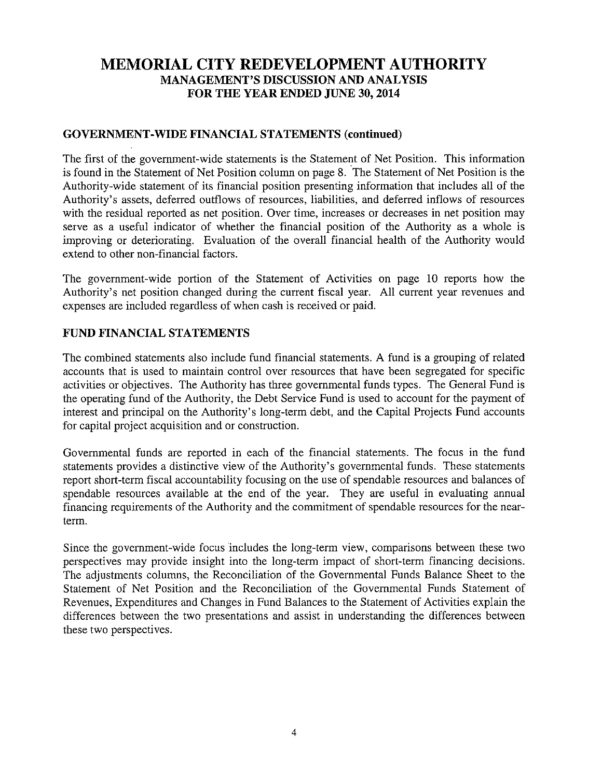#### GOVERNMENT-WIDE FINANCIAL STATEMENTS (continued)

The first of the government-wide statements is the Statement of Net Position. This information is found in the Statement of Net Position column on page 8. The Statement of Net Position is the Authority-wide statement of its financial position presenting information that includes all of the Authority's assets, deferred outflows of resources, liabilities, and deferred inflows of resources with the residual reported as net position. Over time, increases or decreases in net position may serve as a useful indicator of whether the financial position of the Authority as a whole is improving or deteriorating. Evaluation of the overall financial health of the Authority would extend to other non-financial factors.

The government-wide portion of the Statement of Activities on page 10 reports how the Authority's net position changed during the current fiscal year. All current year revenues and expenses are included regardless of when cash is received or paid.

#### FUND FINANCIAL STATEMENTS

The combined statements also include fund financial statements. A fund is a grouping of related accounts that is used to maintain control over resources that have been segregated for specific activities or objectives. The Authority has three governmental funds types. The General Fund is the operating fund of the Authority, the Debt Service Fund is used to account for the payment of interest and principal on the Authority's long-term debt, and the Capital Projects Fund accounts for capital project acquisition and or construction.

Governmental funds are reported in each of the financial statements. The focus in the fund statements provides a distinctive view of the Authority's governmental funds. These statements report short-term fiscal accountability focusing on the use of spendable resources and balances of spendable resources available at the end of the year. They are useful in evaluating annual financing requirements of the Authority and the commitment of spendable resources for the nearterm.

Since the government-wide focus includes the long-term view, comparisons between these two perspectives may provide insight into the long-term impact of short-term financing decisions. The adjustments columns, the Reconciliation of the Governmental Funds Balance Sheet to the Statement of Net Position and the Reconciliation of the Governmental Funds Statement of Revenues, Expenditures and Changes in Fund Balances to the Statement of Activities explain the differences between the two presentations and assist in understanding the differences between these two perspectives.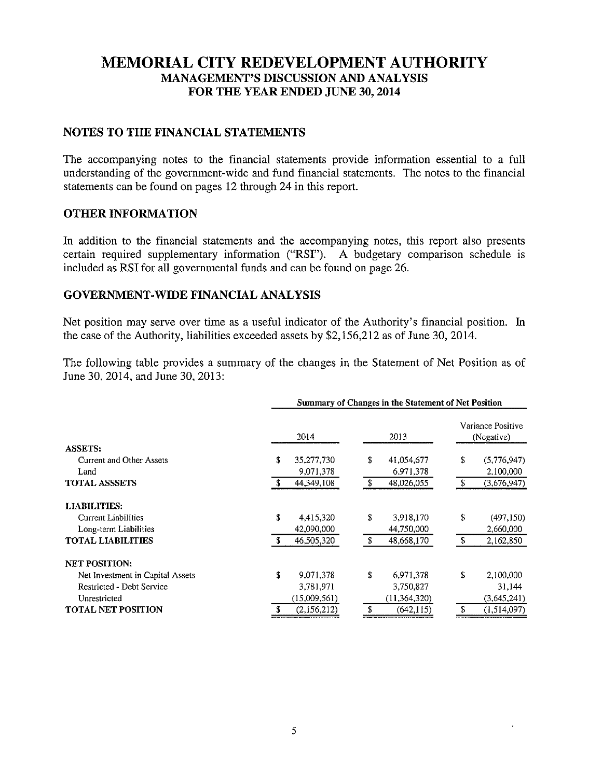#### NOTES TO THE FINANCIAL STATEMENTS

The accompanying notes to the financial statements provide information essential to a full understanding of the government-wide and fund financial statements. The notes to the financial statements can be found on pages 12 through 24 in this report.

#### OTHER INFORMATION

In addition to the financial statements and the accompanying notes, this report also presents certain required supplementary information ("RSI"). A budgetary comparison schedule is included as RSI for all governmental funds and can be found on page 26.

#### GOVERNMENT-WIDE FINANCIAL ANALYSIS

Net position may serve over time as a useful indicator of the Authority's financial position. In the case of the Authority, liabilities exceeded assets by \$2,156,212 as of June 30, 2014.

The following table provides a summary of the changes in the Statement of Net Position as of June 30, 2014, and June 30, 2013:

|                                  | Summary of Changes in the Statement of Net Position |              |      |                                 |     |             |
|----------------------------------|-----------------------------------------------------|--------------|------|---------------------------------|-----|-------------|
|                                  |                                                     | 2014         | 2013 | Variance Positive<br>(Negative) |     |             |
| <b>ASSETS:</b>                   |                                                     |              |      |                                 |     |             |
| <b>Current and Other Assets</b>  | \$                                                  | 35,277,730   | \$   | 41,054,677                      | \$  | (5,776,947) |
| Land                             |                                                     | 9,071,378    |      | 6,971,378                       |     | 2,100,000   |
| <b>TOTAL ASSSETS</b>             |                                                     | 44,349,108   |      | 48,026,055                      | \$  | (3,676.947) |
| <b>LIABILITIES:</b>              |                                                     |              |      |                                 |     |             |
| <b>Current Liabilities</b>       | \$                                                  | 4,415,320    | \$   | 3,918,170                       | \$  | (497, 150)  |
| Long-term Liabilities            |                                                     | 42,090,000   |      | 44,750,000                      |     | 2,660,000   |
| <b>TOTAL LIABILITIES</b>         | £.                                                  | 46,505,320   | £.   | 48,668,170                      | -\$ | 2,162,850   |
| <b>NET POSITION:</b>             |                                                     |              |      |                                 |     |             |
| Net Investment in Capital Assets | \$                                                  | 9.071.378    | \$   | 6,971,378                       | \$  | 2,100,000   |
| Restricted - Debt Service        |                                                     | 3,781,971    |      | 3,750,827                       |     | 31.144      |
| Unrestricted                     |                                                     | (15,009,561) |      | (11, 364, 320)                  |     | (3,645,241) |
| <b>TOTAL NET POSITION</b>        |                                                     | (2,156,212)  |      | (642, 115)                      | \$  | (1,514,097) |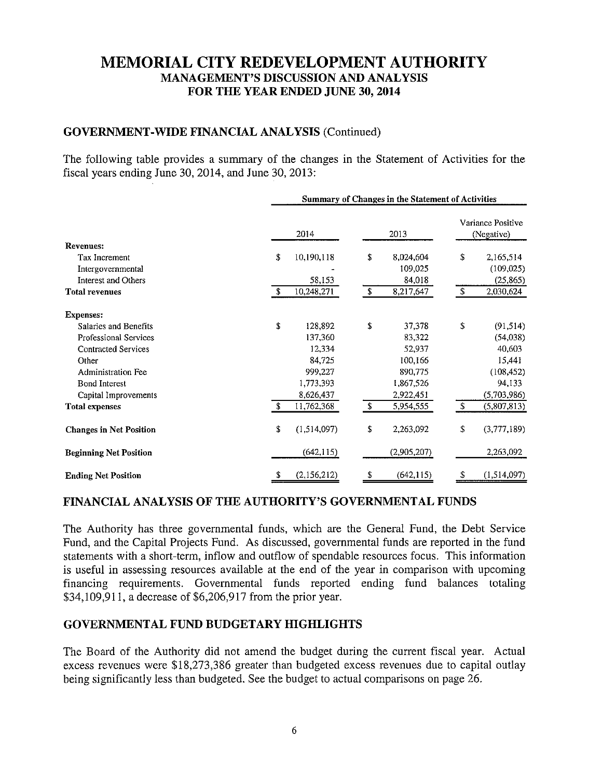#### GOVERNMENT-WIDE FINANCIAL ANALYSIS (Continued)

The following table provides a summary of the changes in the Statement of Activities for the fiscal years ending June 30, 2014, and June 30, 2013:

|                                | <b>Summary of Changes in the Statement of Activities</b> |               |             |            |                                 |  |  |  |
|--------------------------------|----------------------------------------------------------|---------------|-------------|------------|---------------------------------|--|--|--|
|                                | 2014<br>2013                                             |               |             |            | Variance Positive<br>(Negative) |  |  |  |
| <b>Revenues:</b>               |                                                          |               |             |            |                                 |  |  |  |
| Tax Increment                  | \$<br>10,190,118                                         | \$            | 8,024,604   | \$         | 2,165,514                       |  |  |  |
| Intergovernmental              |                                                          |               | 109,025     |            | (109, 025)                      |  |  |  |
| Interest and Others            | 58,153                                                   |               | 84,018      |            | (25, 865)                       |  |  |  |
| <b>Total revenues</b>          | \$<br>10,248,271                                         | $\sqrt[6]{3}$ | 8,217,647   | $\sqrt{3}$ | 2,030,624                       |  |  |  |
| <b>Expenses:</b>               |                                                          |               |             |            |                                 |  |  |  |
| Salaries and Benefits          | \$<br>128,892                                            | \$            | 37,378      | \$         | (91, 514)                       |  |  |  |
| <b>Professional Services</b>   | 137,360                                                  |               | 83,322      |            | (54,038)                        |  |  |  |
| <b>Contracted Services</b>     | 12,334                                                   |               | 52,937      |            | 40.603                          |  |  |  |
| Other                          | 84,725                                                   |               | 100,166     |            | 15.441                          |  |  |  |
| <b>Administration Fee</b>      | 999,227                                                  |               | 890,775     |            | (108, 452)                      |  |  |  |
| <b>Bond Interest</b>           | 1,773,393                                                |               | 1,867,526   |            | 94,133                          |  |  |  |
| Capital Improvements           | 8,626,437                                                |               | 2,922,451   |            | (5,703,986)                     |  |  |  |
| <b>Total expenses</b>          | \$<br>11,762,368                                         | \$            | 5,954,555   | $\sqrt{3}$ | (5,807,813)                     |  |  |  |
| <b>Changes in Net Position</b> | \$<br>(1,514,097)                                        | \$            | 2,263,092   | \$         | (3,777,189)                     |  |  |  |
| <b>Beginning Net Position</b>  | (642, 115)                                               |               | (2,905,207) |            | 2,263,092                       |  |  |  |
| <b>Ending Net Position</b>     | \$<br>(2,156,212)                                        | \$            | (642, 115)  | \$         | (1,514,097)                     |  |  |  |

#### FINANCIAL ANALYSIS OF TIlE AUTHORITY'S GOVERNMENTAL FUNDS

The Authority has three governmental funds, which are the General Fund, the Debt Service Fund, and the Capital Projects Fund. As discussed, governmental funds are reported in the fund statements with a short-term, inflow and outflow of spendable resources focus. This information is useful in assessing resources available at the end of the year in comparison with upcoming financing requirements. Governmental funds reported ending fund balances totaling \$34,109,911, a decrease of \$6,206,917 from the prior year.

## GOVERNMENTAL FUND BUDGETARY HIGHLIGHTS

The Board of the Authority did not amend the budget during the current fiscal year. Actual excess revenues were \$18,273,386 greater than budgeted excess revenues due to capital outlay being significantly less than budgeted. See the budget to actual comparisons on page 26.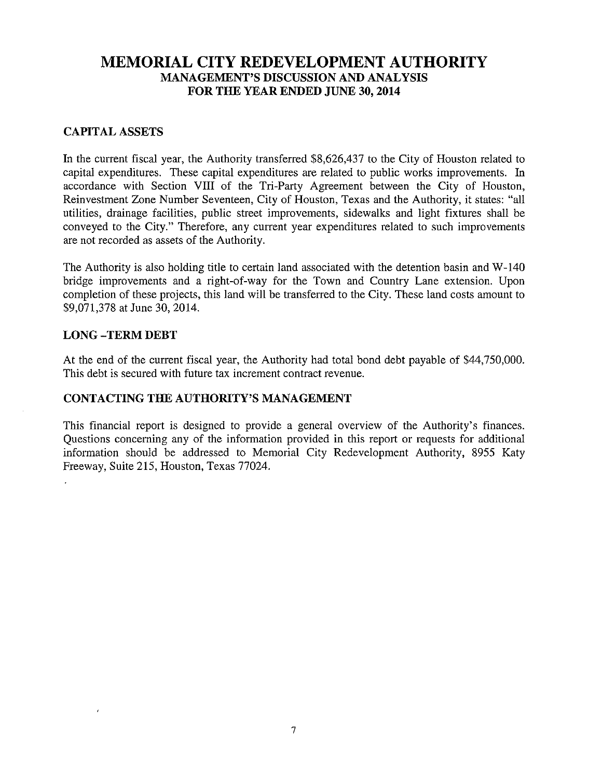#### CAPITAL ASSETS

In the current fiscal year, the Authority transferred \$8,626,437 to the City of Houston related to capital expenditures. These capital expenditures are related to public works improvements. In accordance with Section VIII of the Tri-Party Agreement between the City of Houston, Reinvestment Zone Number Seventeen, City of Houston, Texas and the Authority, it states: "all utilities, drainage facilities, public street improvements, sidewalks and light fixtures shall be conveyed to the City." Therefore, any current year expenditures related to such improvements are not recorded as assets of the Authority.

The Authority is also holding title to certain land associated with the detention basin and W-140 bridge improvements and a right-of-way for the Town and Country Lane extension. Upon completion of these projects, this land will be transferred to the City. These land costs amount to \$9,071,378 at June 30, 2014.

#### LONG -TERM DEBT

At the end of the current fiscal year, the Authority had total bond debt payable of \$44,750,000. This debt is secured with future tax increment contract revenue.

#### CONTACTING THE AUTHORITY'S MANAGEMENT

This financial report is designed to provide a general overview of the Authority's finances. Questions concerning any of the information provided in this report or requests for additional information should be addressed to Memorial City Redevelopment Authority, 8955 Katy Freeway, Suite 215, Houston, Texas 77024.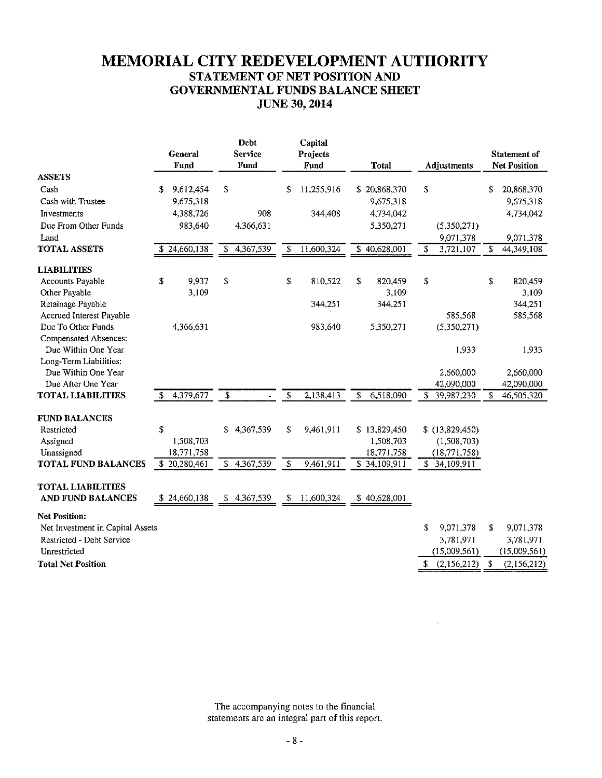## MEMORIAL CITY REDEVELOPMENT AUTHORITY STATEMENT OF NET POSITION AND GOVERNMENTAL FUNDS BALANCE SHEET JUNE 30, 2014

|                                                   |                         |                         | <b>MEMORIAL CITY REDEVELOPMENT AUTHORITY</b>                             |                         |                             |                                     |
|---------------------------------------------------|-------------------------|-------------------------|--------------------------------------------------------------------------|-------------------------|-----------------------------|-------------------------------------|
|                                                   |                         |                         | STATEMENT OF NET POSITION AND<br><b>GOVERNMENTAL FUNDS BALANCE SHEET</b> |                         |                             |                                     |
|                                                   |                         |                         | <b>JUNE 30, 2014</b>                                                     |                         |                             |                                     |
|                                                   | General<br>Fund         | Debt<br>Service<br>Fund | Capital<br>Projects<br>Fund                                              | Total                   | <b>Adjustments</b>          | Statement of<br><b>Net Position</b> |
| <b>ASSETS</b><br>Cash                             | 9,612,454               | \$                      | 11,255,916<br>\$                                                         | \$20,868,370            | \$                          | \$<br>20,868,370                    |
| Cash with Trustee                                 | 9,675,318               |                         |                                                                          | 9,675,318               |                             | 9,675,318                           |
| Investments                                       | 4,388,726               | 908                     | 344,408                                                                  | 4,734,042               |                             | 4,734,042                           |
| Due From Other Funds<br>Land                      | 983,640                 | 4,366,631               |                                                                          | 5,350,271               | (5,350,271)<br>9,071,378    | 9,071,378                           |
| <b>TOTAL ASSETS</b>                               | \$24,660,138            | 4,367,539<br>\$         | \$<br>11,600,324                                                         | \$40,628,001            | \$<br>3,721,107             | \$<br>44,349,108                    |
| <b>LIABILITIES</b>                                |                         |                         |                                                                          |                         |                             |                                     |
| Accounts Payable                                  | \$<br>9,937             | \$                      | \$<br>810,522                                                            | \$<br>820,459           | \$                          | \$<br>820,459                       |
| Other Payable                                     | 3,109                   |                         |                                                                          | 3,109                   |                             | 3,109                               |
| Retainage Payable<br>Accrued Interest Payable     |                         |                         | 344,251                                                                  | 344,251                 | 585,568                     | 344,251<br>585,568                  |
| Due To Other Funds                                | 4,366,631               |                         | 983,640                                                                  | 5,350,271               | (5,350,271)                 |                                     |
| Compensated Absences:                             |                         |                         |                                                                          |                         |                             |                                     |
| Due Within One Year<br>Long-Term Liabilities:     |                         |                         |                                                                          |                         | 1,933                       | 1,933                               |
| Due Within One Year                               |                         |                         |                                                                          |                         | 2,660,000                   | 2,660,000                           |
| Due After One Year                                |                         |                         |                                                                          |                         | 42,090,000                  | 42,090,000                          |
| <b>TOTAL LIABILITIES</b>                          | 4,379,677<br>\$         | \$<br>$\blacksquare$    | \$<br>2,138,413                                                          | \$<br>6,518,090         | \$39,987,230                | \$<br>46,505,320                    |
| <b>FUND BALANCES</b>                              |                         |                         |                                                                          |                         |                             |                                     |
| Restricted                                        | \$                      | 4,367,539<br>\$.        | \$<br>9.461,911                                                          | \$13,829,450            | \$(13,829,450)              |                                     |
| Assigned<br>Unassigned                            | 1,508,703<br>18,771,758 |                         |                                                                          | 1,508,703<br>18,771,758 | (1,508,703)<br>(18,771,758) |                                     |
| TOTAL FUND BALANCES                               | \$20,280,461            | 4,367,539<br>\$         | \$<br>9,461,911                                                          | \$34,109,911            | \$34,109,911                |                                     |
|                                                   |                         |                         |                                                                          |                         |                             |                                     |
| <b>TOTAL LIABILITIES</b><br>AND FUND BALANCES     | \$24,660,138            | 4,367,539<br>S.         | 11,600,324<br>\$                                                         | \$40,628,001            |                             |                                     |
|                                                   |                         |                         |                                                                          |                         |                             |                                     |
| Net Position:<br>Net Investment in Capital Assets |                         |                         |                                                                          |                         | 9,071,378<br>S              | 9,071,378<br>\$                     |
| Restricted - Debt Service                         |                         |                         |                                                                          |                         | 3,781,971                   | 3,781,971                           |
| Unrestricted                                      |                         |                         |                                                                          |                         | (15,009,561)                | (15,009,561)                        |
| <b>Total Net Position</b>                         |                         |                         |                                                                          |                         | (2,156,212)<br>S            | \$<br>(2,156,212)                   |

The accompanying notes to the financial statements are an integral part of this report.  $\bar{\mathcal{A}}$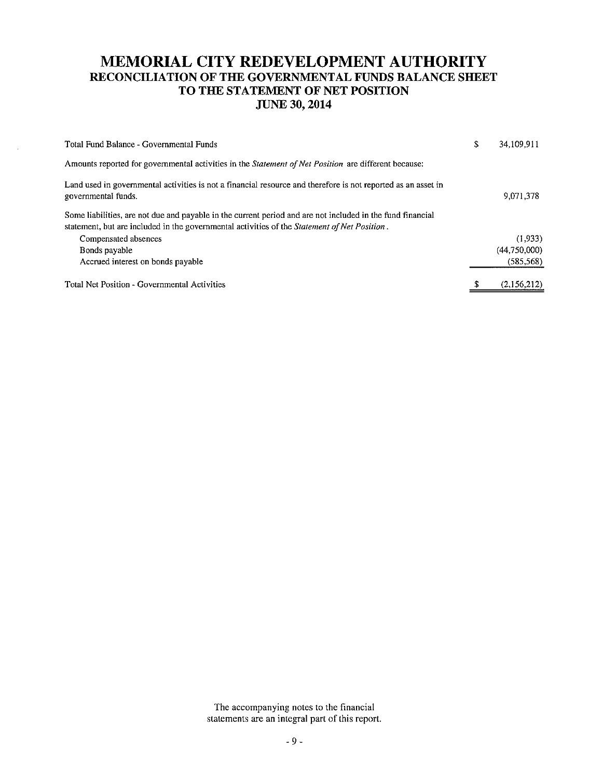## MEMORIAL CITY REDEVELOPMENT AUTHORITY RECONCILIATION OF THE GOVERNMENTAL FUNDS BALANCE SHEET TO THE STATEMENT OF NET POSITION JUNE 30, 2014

| Total Fund Balance - Governmental Funds                                                                                                                                                                            | \$<br>34.109.911 |
|--------------------------------------------------------------------------------------------------------------------------------------------------------------------------------------------------------------------|------------------|
| Amounts reported for governmental activities in the Statement of Net Position are different because:                                                                                                               |                  |
| Land used in governmental activities is not a financial resource and therefore is not reported as an asset in<br>governmental funds.                                                                               | 9.071.378        |
| Some liabilities, are not due and payable in the current period and are not included in the fund financial<br>statement, but are included in the governmental activities of the <i>Statement of Net Position</i> . |                  |
| Compensated absences                                                                                                                                                                                               | (1,933)          |
| Bonds payable                                                                                                                                                                                                      | (44,750,000)     |
| Accrued interest on bonds payable                                                                                                                                                                                  | (585, 568)       |
| Total Net Position - Governmental Activities                                                                                                                                                                       | (2.156.212)      |

The accompanying notes to the financial statements are an integral part of this report.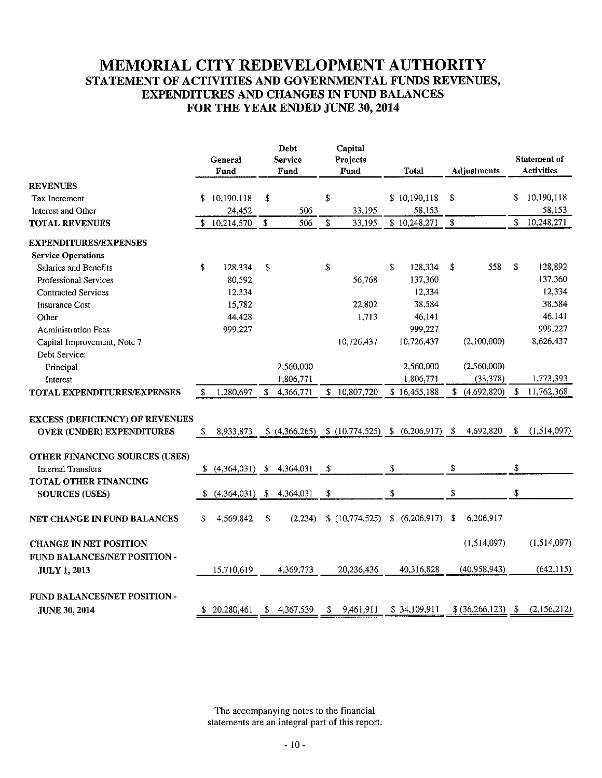## MEMORIAL CITY REDEVELOPMENT AUTHORITY STATEMENT OF ACTIVITIES AND GOVERNMENTAL FUNDS REVENUES, EXPENDITURES AND CHANGES IN FUND BALANCES FOR THE YEAR ENDED JUNE 30, 2014

|                                        |    | General<br>Fund |                           | Debt<br><b>Service</b><br>Fund | Capital<br>Projects<br>Fund        | Total         | <b>Adjustments</b> |              | <b>Statement of</b><br><b>Activities</b> |
|----------------------------------------|----|-----------------|---------------------------|--------------------------------|------------------------------------|---------------|--------------------|--------------|------------------------------------------|
| <b>REVENUES</b>                        |    |                 |                           |                                |                                    |               |                    |              |                                          |
| Tax Increment                          | S. | 10,190,118      | \$                        |                                | \$                                 | \$10,190,118  | \$                 | \$           | 10,190,118                               |
| Interest and Other                     |    | 24,452          |                           | 506                            | 33,195                             | 58,153        |                    |              | 58,153                                   |
| <b>TOTAL REVENUES</b>                  | S  | 10,214,570      | $\boldsymbol{\mathsf{s}}$ | 506                            | \$<br>33,195                       | \$10,248,271  | \$                 | $\mathbb{S}$ | 10,248,271                               |
| <b>EXPENDITURES/EXPENSES</b>           |    |                 |                           |                                |                                    |               |                    |              |                                          |
| <b>Service Operations</b>              |    |                 |                           |                                |                                    |               |                    |              |                                          |
| Salaries and Benefits                  | \$ | 128,334         | \$                        |                                | \$                                 | \$<br>128,334 | \$<br>558          | \$           | 128,892                                  |
| Professional Services                  |    | 80,592          |                           |                                | 56,768                             | 137,360       |                    |              | 137,360                                  |
| <b>Contracted Services</b>             |    | 12,334          |                           |                                |                                    | 12,334        |                    |              | 12,334                                   |
| <b>Insurance Cost</b>                  |    | 15.782          |                           |                                | 22.802                             | 38,584        |                    |              | 38,584                                   |
| Other                                  |    | 44,428          |                           |                                | 1,713                              | 46,141        |                    |              | 46,141                                   |
| <b>Administration Fees</b>             |    | 999.227         |                           |                                |                                    | 999,227       |                    |              | 999,227                                  |
| Capital Improvement, Note 7            |    |                 |                           |                                | 10,726,437                         | 10,726,437    | (2,100,000)        |              | 8,626,437                                |
| Debt Service:                          |    |                 |                           |                                |                                    |               |                    |              |                                          |
| Principal                              |    |                 |                           | 2,560,000                      |                                    | 2,560,000     | (2,560,000)        |              |                                          |
| Interest                               |    |                 |                           | 1,806,771                      |                                    | 1,806,771     | (33, 378)          |              | 1,773,393                                |
| <b>TOTAL EXPENDITURES/EXPENSES</b>     | S  | 1,280,697       | \$                        | 4,366,771                      | \$10,807,720                       | \$16,455,188  | \$(4,692,820)      | $\mathbf{s}$ | 11,762,368                               |
| <b>EXCESS (DEFICIENCY) OF REVENUES</b> |    |                 |                           |                                |                                    |               |                    |              |                                          |
| <b>OVER (UNDER) EXPENDITURES</b>       | S. | 8,933,873       |                           | (4,366,265)                    | $(10,774,525)$ \$ $(6,206,917)$ \$ |               | 4,692,820          | \$           | (1,514,097)                              |
|                                        |    |                 |                           |                                |                                    |               |                    |              |                                          |
| OTHER FINANCING SOURCES (USES)         |    |                 |                           |                                |                                    |               |                    |              |                                          |
| <b>Internal Transfers</b>              |    | (4,364,031)     |                           | \$4,364,031                    | \$                                 | \$            | \$                 | \$           |                                          |
| TOTAL OTHER FINANCING                  |    |                 |                           |                                |                                    |               |                    |              |                                          |
| <b>SOURCES (USES)</b>                  | S. | (4,364,031)     |                           | \$4,364,031                    | \$                                 | \$            | \$                 | \$           |                                          |
| NET CHANGE IN FUND BALANCES            | \$ | 4,569,842       | \$                        | (2, 234)                       | \$(10,774,525)                     | \$(6,206,917) | \$<br>6,206,917    |              |                                          |
| <b>CHANGE IN NET POSITION</b>          |    |                 |                           |                                |                                    |               | (1,514,097)        |              | (1,514,097)                              |
| FUND BALANCES/NET POSITION -           |    |                 |                           |                                |                                    |               |                    |              |                                          |
| <b>JULY 1, 2013</b>                    |    | 15,710,619      |                           | 4,369,773                      | 20,236,436                         | 40,316,828    | (40,958,943)       |              | (642, 115)                               |
| FUND BALANCES/NET POSITION -           |    |                 |                           |                                |                                    |               |                    |              |                                          |
| <b>JUNE 30, 2014</b>                   |    | \$20,280,461    |                           | \$4,367,539                    | \$<br>9,461,911                    | \$34,109,911  | \$(36, 266, 123)   | - \$         | (2,156,212)                              |

The accompanying notes to the financial statements are an integral part of this report.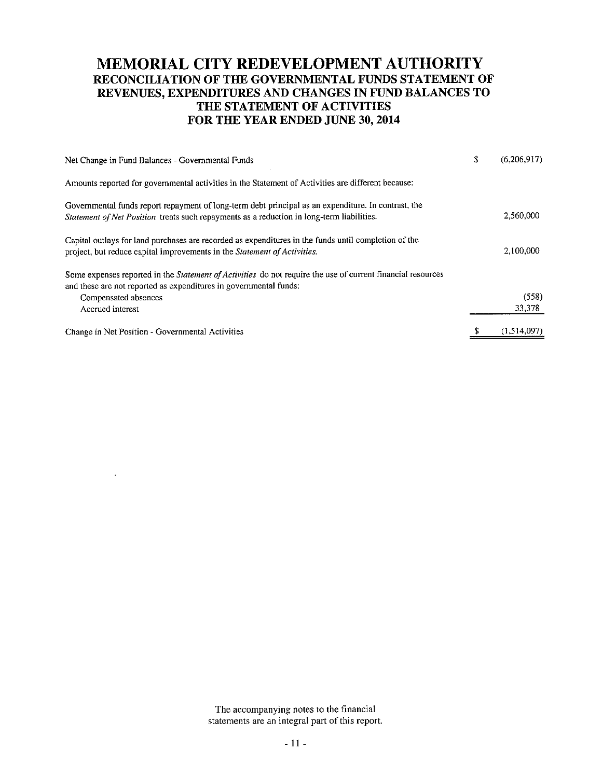## MEMORIAL CITY REDEVELOPMENT AUTHORITY RECONCILIATION OF THE GOVERNMENTAL FUNDS STATEMENT OF REVENUES, EXPENDITURES AND CHANGES IN FUND BALANCES TO THE STATEMENT OF ACTIVITIES FOR THE YEAR ENDED JUNE 30, 2014

| Net Change in Fund Balances - Governmental Funds                                                                                                                                                 | \$<br>(6.206.917) |
|--------------------------------------------------------------------------------------------------------------------------------------------------------------------------------------------------|-------------------|
| Amounts reported for governmental activities in the Statement of Activities are different because:                                                                                               |                   |
| Governmental funds report repayment of long-term debt principal as an expenditure. In contrast, the<br>Statement of Net Position treats such repayments as a reduction in long-term liabilities. | 2,560,000         |
| Capital outlays for land purchases are recorded as expenditures in the funds until completion of the<br>project, but reduce capital improvements in the Statement of Activities.                 | 2,100,000         |
| Some expenses reported in the Statement of Activities do not require the use of current financial resources<br>and these are not reported as expenditures in governmental funds:                 |                   |
| Compensated absences                                                                                                                                                                             | (558)             |
| Accrued interest                                                                                                                                                                                 | 33,378            |
| Change in Net Position - Governmental Activities                                                                                                                                                 | (1.514.097        |

The accompanying notes to the financial statements are an integral part of this report.

 $\ddot{\phantom{a}}$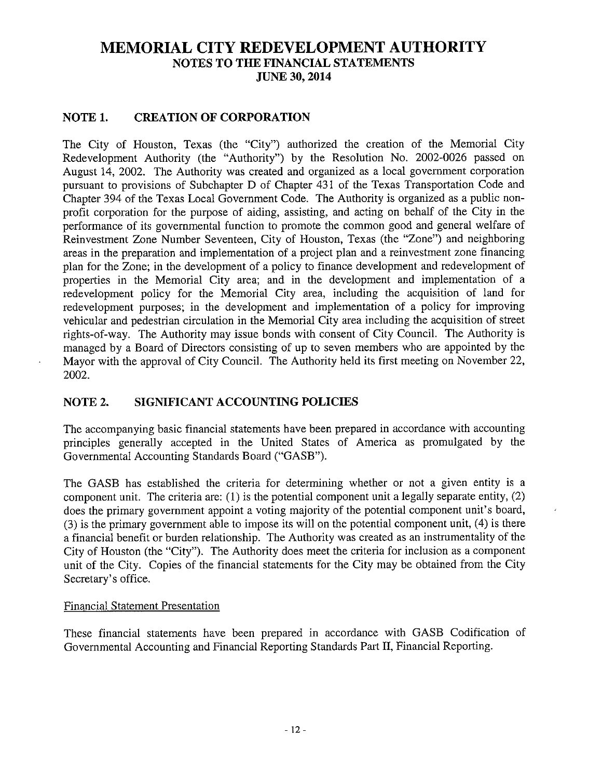## NOTE 1. CREATION OF CORPORATION

The City of Houston, Texas (the "City") authorized the creation of the Memorial City Redevelopment Authority (the "Authority") by the Resolution No. 2002-0026 passed on August 14, 2002. The Authority was created and organized as a local government corporation pursuant to provisions of Subchapter D of Chapter 431 of the Texas Transportation Code and Chapter 394 of the Texas Local Government Code. The Authority is organized as a public non profit corporation for the purpose of aiding, assisting, and acting on behalf of the City in the performance of its governmental function to promote the common good and general welfare of Reinvestment Zone Number Seventeen, City of Houston, Texas (the "Zone") and neighboring areas in the preparation and implementation of a project plan and a reinvestment zone financing plan for the Zone; in the development of a policy to finance development and redevelopment of properties in the Memorial City area; and in the development and implementation of a redevelopment policy for the Memorial City area, including the acquisition of land for redevelopment purposes; in the development and implementation of a policy for improving vehicular and pedestrian circulation in the Memorial City area including the acquisition of street rights-of-way. The Authority may issue bonds with consent of City Council. The Authority is managed by a Board of Directors consisting of up to seven members who are appointed by the Mayor with the approval of City Council. The Authority held its first meeting on November 22, 2002.

## NOTE 2. SIGNIFICANT ACCOUNTING POLICIES

The accompanying basic financial statements have been prepared in accordance with accounting principles generally accepted in the United States of America as promulgated by the Governmental Accounting Standards Board ("GASB").

The GASB has established the criteria for determining whether or not a given entity is a component unit. The criteria are: (1) is the potential component unit a legally separate entity, (2) does the primary government appoint a voting majority of the potential component unit's board, (3) is the primary government able to impose its will on the potential component unit, (4) is there a financial benefit or burden relationship. The Authority was created as an instrumentality of the City of Houston (the "City"). The Authority does meet the criteria for inclusion as a component unit of the City. Copies of the financial statements for the City may be obtained from the City Secretary's office.

#### Financial Statement Presentation

These financial statements have been prepared in accordance with GASB Codification of Governmental Accounting and Financial Reporting Standards Part II, Financial Reporting.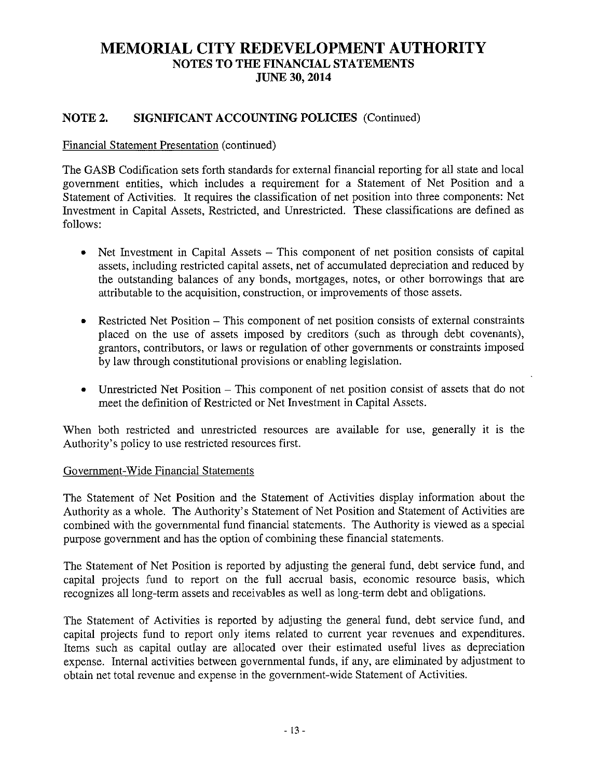## NOTE 2. SIGMFICANT ACCOUNTING POLICIES (Continued)

#### Financial Statement Presentation (continued)

The GASB Codification sets forth standards for external financial reporting for all state and local government entities, which includes a requirement for a Statement of Net Position and a Statement of Activities. It requires the classification of net position into three components: Net Investment in Capital Assets, Restricted, and Unrestricted. These classifications are defined as follows:

- Net Investment in Capital Assets This component of net position consists of capital  $\bullet$ assets, including restricted capital assets, net of accumulated depreciation and reduced by the outstanding balances of any bonds, mortgages, notes, or other borrowings that are attributable to the acquisition, construction, or improvements of those assets.
- Restricted Net Position This component of net position consists of external constraints placed on the use of assets imposed by creditors (such as through debt covenants), grantors, contributors, or laws or regulation of other governments or constraints imposed by law through constitutional provisions or enabling legislation.
- Unrestricted Net Position This component of net position consist of assets that do not meet the definition of Restricted or Net Investment in Capital Assets.

When both restricted and unrestricted resources are available for use, generally it is the Authority's policy to use restricted resources first.

#### Government-Wide Financial Statements

The Statement of Net Position and the Statement of Activities display information about the Authority as a whole. The Authority's Statement of Net Position and Statement of Activities are combined with the governmental fund financial statements. The Authority is viewed as a special purpose government and has the option of combining these financial statements.

The Statement of Net Position is reported by adjusting the general fund, debt service fund, and capital projects fund to report on the full accrual basis, economic resource basis, which recognizes all long-term assets and receivables as well as long-term debt and obligations.

The Statement of Activities is reported by adjusting the general fund, debt service fund, and capital projects fund to report only items related to current year revenues and expenditures. Items such as capital outlay are allocated over their estimated useful lives as depreciation expense. Internal activities between governmental funds, if any, are eliminated by adjustment to obtain net total revenue and expense in the government-wide Statement of Activities.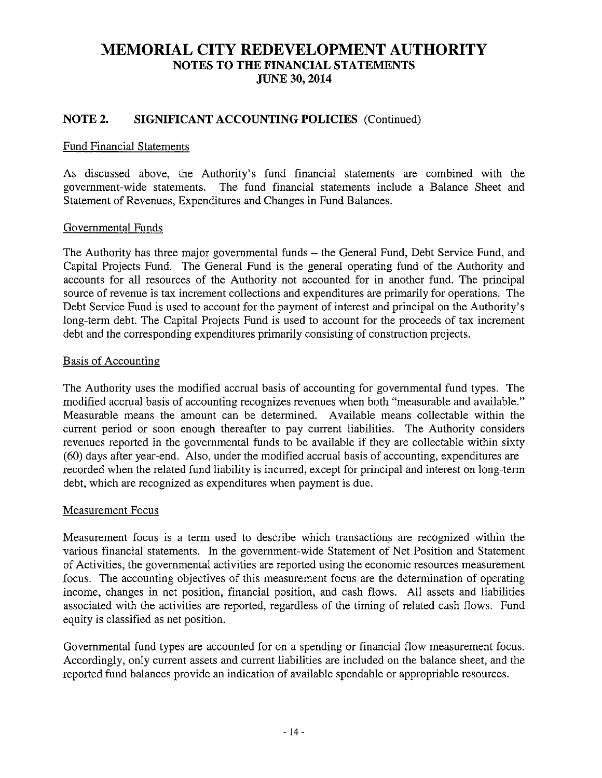## NOTE 2. SIGNIFICANT ACCOUNTING POLICIES (Continued)

#### Fund Financial Statements

As discussed above, the Authority's fund financial statements are combined with the government-wide statements. The fund financial statements include a Balance Sheet and Statement of Revenues, Expenditures and Changes in Fund Balances.

#### Governmental Funds

The Authority has three major governmental funds — the General Fund, Debt Service Fund, and Capital Projects Fund. The General Fund is the general operating fund of the Authority and accounts for all resources of the Authority not accounted for in another fund. The principal source of revenue is tax increment collections and expenditures are primarily for operations. The Debt Service Fund is used to account for the payment of interest and principal on the Authority's long-term debt. The Capital Projects Fund is used to account for the proceeds of tax increment debt and the corresponding expenditures primarily consisting of construction projects.

#### Basis of Accounting

The Authority uses the modified accrual basis of accounting for governmental fund types. The modified accrual basis of accounting recognizes revenues when both "measurable and available." Measurable means the amount can be determined. Available means collectable within the current period or soon enough thereafter to pay current liabilities. The Authority considers revenues reported in the governmental funds to be available if they are collectable within sixty (60) days after year-end. Also, under the modified accrual basis of accounting, expenditures are recorded when the related fund liability is incurred, except for principal and interest on long-term debt, which are recognized as expenditures when payment is due.

#### Measurement Focus

Measurement focus is a term used to describe which transactions are recognized within the various financial statements. In the government-wide Statement of Net Position and Statement of Activities, the governmental activities are reported using the economic resources measurement focus. The accounting objectives of this measurement focus are the determination of operating income, changes in net position, financial position, and cash flows. All assets and liabilities associated with the activities are reported, regardless of the timing of related cash flows. Fund equity is classified as net position.

Governmental fund types are accounted for on a spending or financial flow measurement focus. Accordingly, only current assets and current liabilities are included on the balance sheet, and the reported fund balances provide an indication of available spendable or appropriable resources.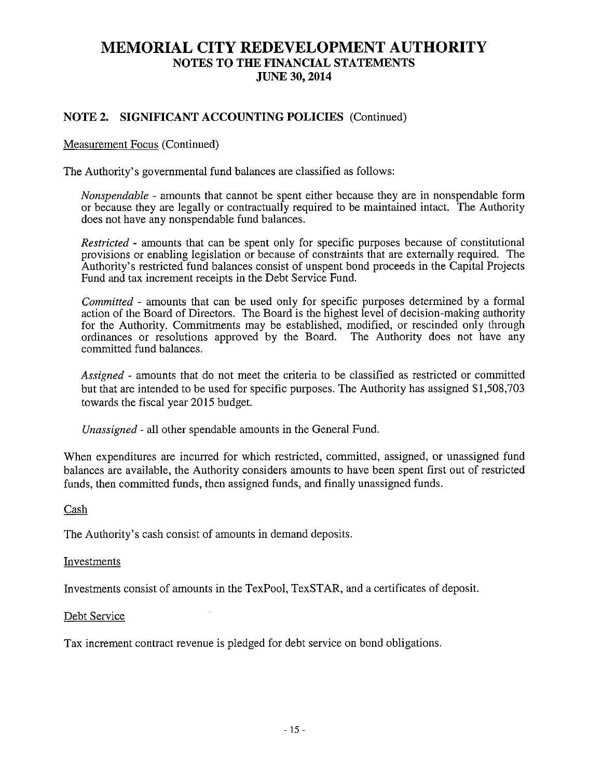### NOTE 2. SIGMFICANT ACCOUNTING POLICIES (Continued)

#### Measurement Focus (Continued)

The Authority's governmental fund balances are classified as follows:

Nonspendable - amounts that cannot be spent either because they are in nonspendable form or because they are legally or contractually required to be maintained intact. The Authority does not have any nonspendable fund balances.

Restricted - amounts that can be spent only for specific purposes because of constitutional provisions or enabling legislation or because of constraints that are externally required. The Authority's restricted fund balances consist of unspent bond proceeds in the Capital Projects Fund and tax increment receipts in the Debt Service Fund.

Committed - amounts that can be used only for specific purposes determined by a formal action of the Board of Directors. The Board is the highest level of decision-making authority for the Authority. Commitments may be established, modified, or rescinded only through ordinances or resolutions approved by the Board. The Authority does not have any committed fund balances.

Assigned - amounts that do not meet the criteria to be classified as restricted or committed but that are intended to be used for specific purposes. The Authority has assigned \$1,508,703 towards the fiscal year 2015 budget.

Unassigned - all other spendable amounts in the General Fund.

When expenditures are incurred for which restricted, committed, assigned, or unassigned fund balances are available, the Authority considers amounts to have been spent first out of restricted funds, then committed funds, then assigned funds, and finally unassigned funds.

Cash

The Authority's cash consist of amounts in demand deposits.

#### Investments

Investments consist of amounts in the TexPool, TexSTAR, and a certificates of deposit.

#### Debt Service

Tax increment contract revenue is pledged for debt service on bond obligations.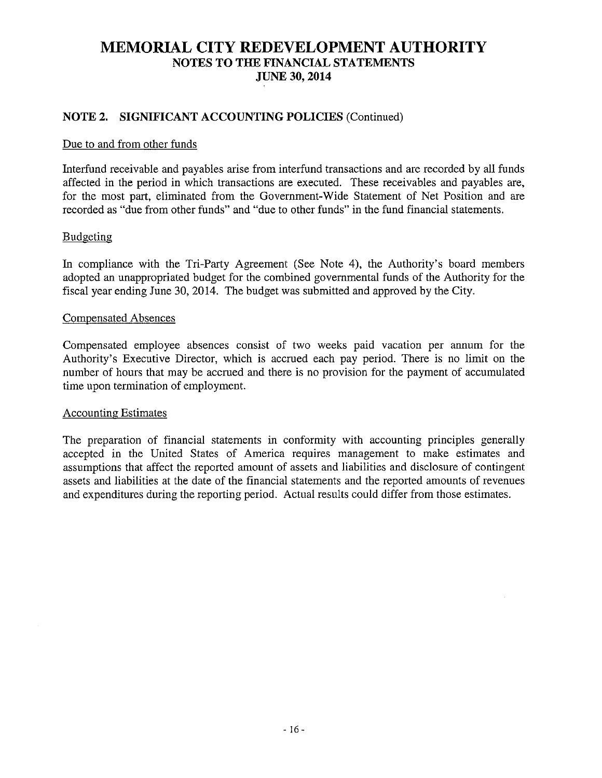### NOTE 2. SIGNIFICANT ACCOUNTING POLICIES (Continued)

#### Due to and from other funds

Interfund receivable and payables arise from interfund transactions and are recorded by all funds affected in the period in which transactions are executed. These receivables and payables are, for the most part, eliminated from the Government-Wide Statement of Net Position and are recorded as "due from other funds" and "due to other funds" in the fund financial statements.

#### Budgeting

In compliance with the Tri-Party Agreement (See Note 4), the Authority's board members adopted an unappropriated budget for the combined governmental funds of the Authority for the fiscal year ending June 30, 2014. The budget was submitted and approved by the City.

#### Compensated Absences

Compensated employee absences consist of two weeks paid vacation per annum for the Authority's Executive Director, which is accrued each pay period. There is no limit on the number of hours that may be accrued and there is no provision for the payment of accumulated time upon termination of employment.

#### Accounting Estimates

The preparation of financial statements in conformity with accounting principles generally accepted in the United States of America requires management to make estimates and assumptions that affect the reported amount of assets and liabilities and disclosure of contingent assets and liabilities at the date of the financial statements and the reported amounts of revenues and expenditures during the reporting period. Actual results could differ from those estimates.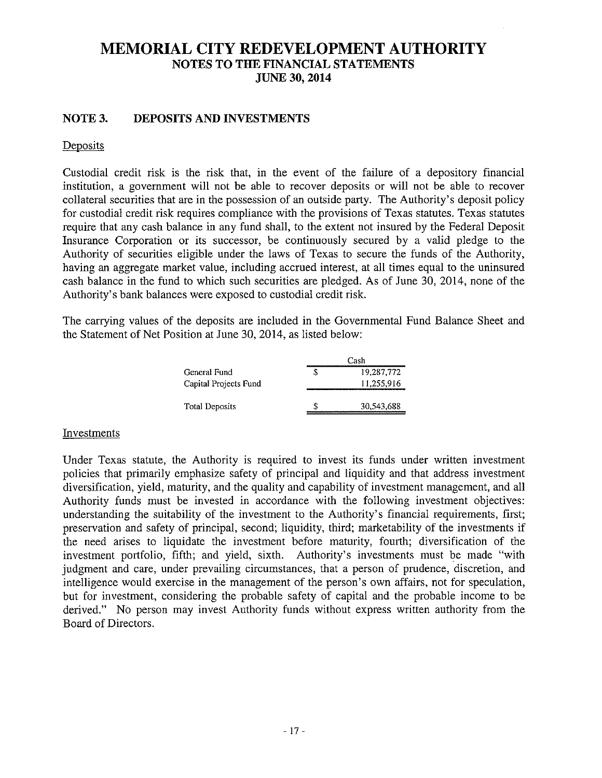### NOTE 3. DEPOSITS AND INVESTMENTS

#### **Deposits**

Custodial credit risk is the risk that, in the event of the failure of a depository financial institution, a government will not be able to recover deposits or will not be able to recover collateral securities that are in the possession of an outside party. The Authority's deposit policy for custodial credit risk requires compliance with the provisions of Texas statutes. Texas statutes require that any cash balance in any fund shall, to the extent not insured by the Federal Deposit Insurance Corporation or its successor, be continuously secured by a valid pledge to the Authority of securities eligible under the laws of Texas to secure the funds of the Authority, having an aggregate market value, including accrued interest, at all times equal to the uninsured cash balance in the fund to which such securities are pledged. As of June 30, 2014, none of the Authority's bank balances were exposed to custodial credit risk.

The carrying values of the deposits are included in the Governmental Fund Balance Sheet and the Statement of Net Position at June 30, 2014, as listed below:

|                       |   | Cash       |
|-----------------------|---|------------|
| General Fund          |   | 19,287,772 |
| Capital Projects Fund |   | 11.255,916 |
| Total Deposits        | ς | 30,543,688 |

#### Investments

Under Texas statute, the Authority is required to invest its funds under written investment policies that primarily emphasize safety of principal and liquidity and that address investment diversification, yield, maturity, and the quality and capability of investment management, and all Authority funds must be invested in accordance with the following investment objectives: understanding the suitability of the investment to the Authority's financial requirements, first; preservation and safety of principal, second; liquidity, third; marketability of the investments if the need arises to liquidate the investment before maturity, fourth; diversification of the investment portfolio, fifth; and yield, sixth. Authority's investments must be made "with judgment and care, under prevailing circumstances, that a person of prudence, discretion, and intelligence would exercise in the management of the person's own affairs, not for speculation, but for investment, considering the probable safety of capital and the probable income to be derived." No person may invest Authority funds without express written authority from the Board of Directors.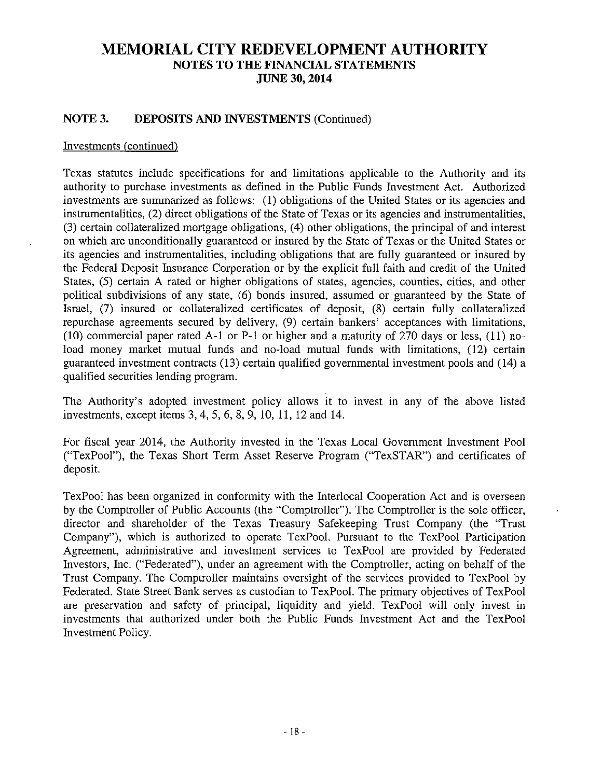#### NOTE 3. DEPOSITS AND INVESTMENTS (Continued)

#### Investments (continued)

Texas statutes include specifications for and limitations applicable to the Authority and its authority to purchase investments as defined in the Public Funds Investment Act. Authorized investments are summarized as follows: (1) obligations of the United States or its agencies and instrumentalities, (2) direct obligations of the State of Texas or its agencies and instrumentalities, (3) certain collateralized mortgage obligations, (4) other obligations, the principal of and interest on which are unconditionally guaranteed or insured by the State of Texas or the United States or its agencies and instrumentalities, including obligations that are fully guaranteed or insured by the Federal Deposit Insurance Corporation or by the explicit full faith and credit of the United States, (5) certain A rated or higher obligations of states, agencies, counties, cities, and other political subdivisions of any state, (6) bonds insured, assumed or guaranteed by the State of Israel, (7) insured or collateralized certificates of deposit, (8) certain fully collateralized repurchase agreements secured by delivery, (9) certain bankers' acceptances with limitations, (10) commercial paper rated A-i or P-i or higher and a maturity of 270 days or less, (11) noload money market mutual funds and no-load mutual funds with limitations, (12) certain guaranteed investment contracts (13) certain qualified governmental investment pools and (14) a qualified securities lending program.

The Authority's adopted investment policy allows it to invest in any of the above listed investments, except items 3,4, 5, 6, 8, 9, 10, 11, 12 and 14.

For fiscal year 2014, the Authority invested in the Texas Local Government Investment Pool ("TexPool"), the Texas Short Term Asset Reserve Program ("TexSTAR") and certificates of deposit.

TexPool has been organized in conformity with the Interlocal Cooperation Act and is overseen by the Comptroller of Public Accounts (the "Comptroller"). The Comptroller is the sole officer, director and shareholder of the Texas Treasury Safekeeping Trust Company (the "Trust Company"), which is authorized to operate TexPool. Pursuant to the TexPool Participation Agreement, administrative and investment services to TexPool are provided by Federated Investors, Inc. ("Federated"), under an agreement with the Comptroller, acting on behalf of the Trust Company. The Comptroller maintains oversight of the services provided to TexPool by Federated. State Street Bank serves as custodian to TexPool. The primary objectives of TexPool are preservation and safety of principal, liquidity and yield. TexPool will only invest in investments that authorized under both the Public Funds Investment Act and the TexPool Investment Policy.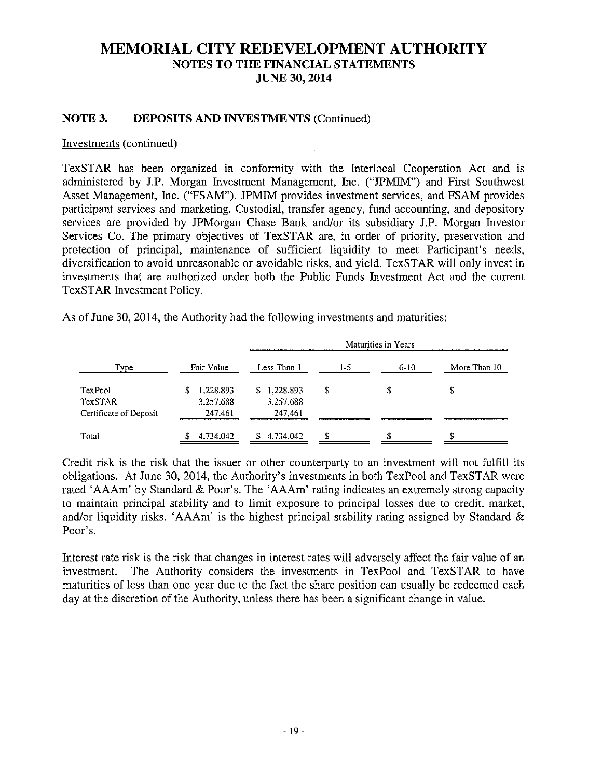### NOTE 3. DEPOSITS AND INVESTMENTS (Continued)

#### Investments (continued)

TexSTAR has been organized in conformity with the Thterlocal Cooperation Act and is administered by J.P. Morgan Investment Management, Inc. ("JPMIM") and First Southwest Asset Management, Inc. ("FSAM"). JPMIM provides investment services, and FSAM provides participant services and marketing. Custodial, transfer agency, fund accounting, and depository services are provided by JPMorgan Chase Bank and/or its subsidiary J.P. Morgan Investor Services Co. The primary objectives of TexSTAR are, in order of priority, preservation and protection of principal, maintenance of sufficient liquidity to meet Participant's needs, diversification to avoid unreasonable or avoidable risks, and yield. TexSTAR will only invest in investments that are authorized under both the Public Funds Investment Act and the current TexSTAR Investment Policy.

As of June 30, 2014, the Authority had the following investments and maturities:

| Type                      | Fair Value                   | Less Than 1              | $1-5$ | $6-10$ | More Than 10 |
|---------------------------|------------------------------|--------------------------|-------|--------|--------------|
| <b>TexPool</b><br>TexSTAR | 1,228,893<br>5.<br>3,257,688 | \$1,228,893<br>3,257,688 | S     | \$     | \$           |
| Certificate of Deposit    | 247,461                      | 247,461                  |       |        |              |
| Total                     | 4,734,042                    | 4,734,042                | S     | \$     |              |

Credit risk is the risk that the issuer or other counterparty to an investment will not fulfill its obligations. At June 30, 2014, the Authority's investments in both TexPool and TexSTAR were rated 'AAAm' by Standard & Poor's. The 'AAAm' rating indicates an extremely strong capacity to maintain principal stability and to limit exposure to principal losses due to credit, market, and/or liquidity risks. 'AAAm' is the highest principal stability rating assigned by Standard & Poor's.

Interest rate risk is the risk that changes in interest rates will adversely affect the fair value of an investment. The Authority considers the investments in TexPool and TexSTAR to have maturities of less than one year due to the fact the share position can usually be redeemed each day at the discretion of the Authority, unless there has been a significant change in value.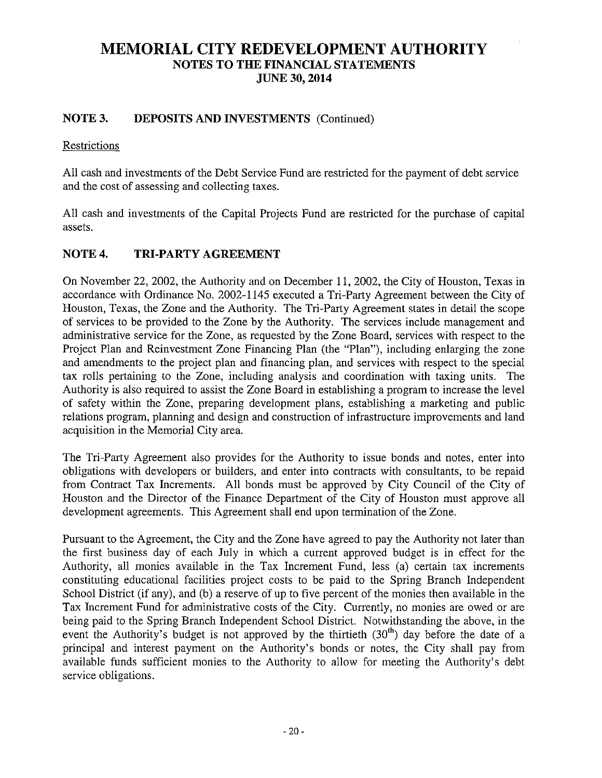## NOTE 3. DEPOSITS AND INVESTMENTS (Continued)

#### **Restrictions**

All cash and investments of the Debt Service Fund are restricted for the payment of debt service and the cost of assessing and collecting taxes.

All cash and investments of the Capital Projects Fund are restricted for the purchase of capital assets.

## NOTE 4. TRI-PARTY AGREEMENT

On November 22, 2002, the Authority and on December 11, 2002, the City of Houston, Texas in accordance with Ordinance No. 2002-1145 executed a Tri-Party Agreement between the City of Houston, Texas, the Zone and the Authority. The Tri-Party Agreement states in detail the scope of services to be provided to the Zone by the Authority. The services include management and administrative service for the Zone, as requested by the Zone Board, services with respect to the Project Plan and Reinvestment Zone Financing Plan (the "Plan"), including enlarging the zone and amendments to the project plan and financing plan, and services with respect to the special tax rolls pertaining to the Zone, including analysis and coordination with taxing units. The Authority is also required to assist the Zone Board in establishing a program to increase the level of safety within the Zone, preparing development plans, establishing a marketing and public relations program, planning and design and construction of infrastructure improvements and land acquisition in the Memorial City area.

The Tri-Party Agreement also provides for the Authority to issue bonds and notes, enter into obligations with developers or builders, and enter into contracts with consultants, to be repaid from Contract Tax Increments. All bonds must be approved by City Council of the City of Houston and the Director of the Finance Department of the City of Houston must approve all development agreements. This Agreement shall end upon termination of the Zone.

Pursuant to the Agreement, the City and the Zone have agreed to pay the Authority not later than the first business day of each July in which a current approved budget is in effect for the Authority, all monies available in the Tax Increment Fund, less (a) certain tax increments constituting educational facilities project costs to be paid to the Spring Branch Independent School District (if any), and (b) a reserve of up to five percent of the monies then available in the Tax Increment Fund for administrative costs of the City. Currently, no monies are owed or are being paid to the Spring Branch Independent School District. Notwithstanding the above, in the event the Authority's budget is not approved by the thirtieth (30<sup>th</sup>) day before the date of a constituting educational facilities project costs to be paid to the Spring Branch Independent<br>School District (if any), and (b) a reserve of up to five percent of the monies then available in the<br>Tax Increment Fund for adm principal and interest payment on the Authority's bonds or notes, the City shall pay from available funds sufficient monies to the Authority to allow for meeting the Authority's debt service obligations.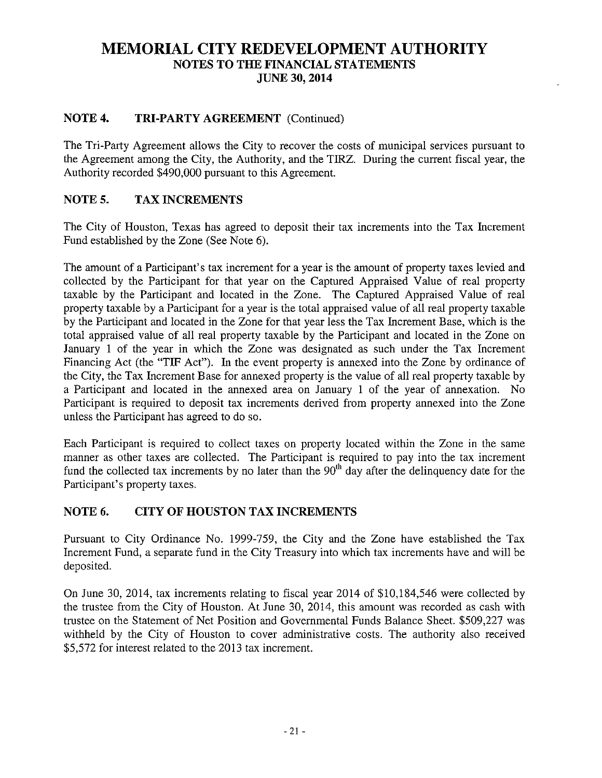## NOTE 4. TRI-PARTY AGREEMENT (Continued)

The Tri-Party Agreement allows the City to recover the costs of municipal services pursuant to the Agreement among the City, the Authority, and the TIRZ. During the current fiscal year, the Authority recorded \$490,000 pursuant to this Agreement.

## NOTES. TAX INCREMENTS

The City of Houston, Texas has agreed to deposit their tax increments into the Tax Increment Fund established by the Zone (See Note 6).

The amount of a Participant's tax increment for a year is the amount of property taxes levied and collected by the Participant for that year on the Captured Appraised Value of real property taxable by the Participant and located in the Zone. The Captured Appraised Value of real property taxable by a Participant for a year is the total appraised value of all real property taxable by the Participant and located in the Zone for that year less the Tax Increment Base, which is the total appraised value of all real property taxable by the Participant and located in the Zone on January <sup>1</sup> of the year in which the Zone was designated as such under the Tax Increment Financing Act (the "TIF Act"). In the event property is annexed into the Zone by ordinance of the City, the Tax Increment Base for annexed property is the value of all real property taxable by a Participant and located in the annexed area on January <sup>1</sup> of the year of annexation. No Participant is required to deposit tax increments derived from property annexed into the Zone unless the Participant has agreed to do so.

Each Participant is required to collect taxes on property located within the Zone in the same manner as other taxes are collected. The Participant is required to pay into the tax increment fund the collected tax increments by no later than the  $90<sup>th</sup>$  day after the delinquency date for the Participant's property taxes.

## NOTE 6. CITY OF HOUSTON TAX INCREMENTS

Pursuant to City Ordinance No. 1999-759, the City and the Zone have established the Tax Increment Fund, a separate fund in the City Treasury into which tax increments have and will be deposited.

On June 30, 2014, tax increments relating to fiscal year 2014 of \$10,184,546 were collected by the trustee from the City of Houston. At June 30, 2014, this amount was recorded as cash with trustee on the Statement of Net Position and Governmental Funds Balance Sheet. \$509,227 was withheld by the City of Houston to cover administrative costs. The authority also received \$5,572 for interest related to the 2013 tax increment.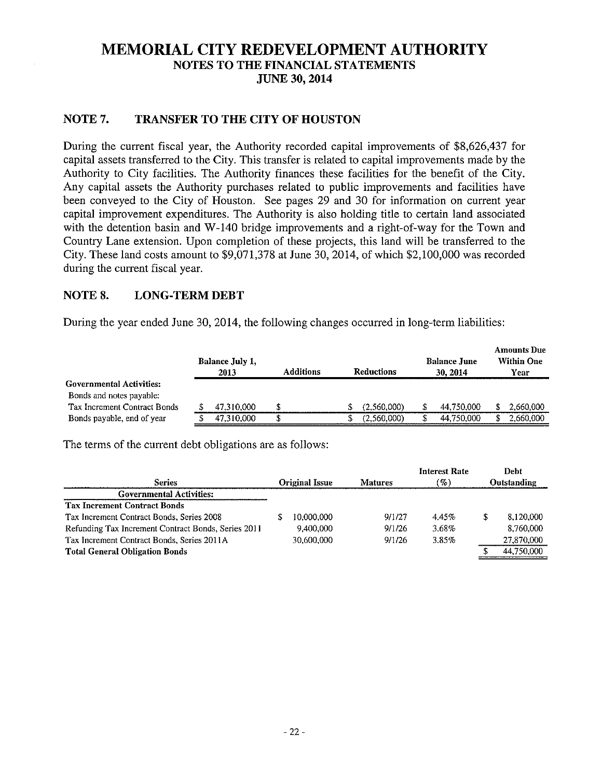### NOTE 7. TRANSFER TO THE CITY OF HOUSTON

During the current fiscal year, the Authority recorded capital improvements of \$8,626,437 for capital assets transferred to the City. This transfer is related to capital improvements made by the Authority to City facilities. The Authority finances these facilities for the benefit of the City. Any capital assets the Authority purchases related to public improvements and facilities have been conveyed to the City of Houston. See pages 29 and 30 for information on current year capital improvement expenditures. The Authority is also holding title to certain land associated with the detention basin and W-140 bridge improvements and a right-of-way for the Town and Country Lane extension. Upon completion of these projects, this land will be transferred to the City. These land costs amount to \$9,071,378 at June 30, 2014, of which \$2,100,000 was recorded during the current fiscal year.

#### NOTE 8. LONG-TERM DEBT

During the year ended June 30, 2014, the following changes occurred in long-term liabilities:

|                                 | <b>Balance July 1.</b><br>2013 | <b>Additions</b> |  | <b>Reductions</b> | <b>Balance June</b><br>30.2014 | <b>Amounts Due</b><br><b>Within One</b><br>Year |
|---------------------------------|--------------------------------|------------------|--|-------------------|--------------------------------|-------------------------------------------------|
| <b>Governmental Activities:</b> |                                |                  |  |                   |                                |                                                 |
| Bonds and notes payable:        |                                |                  |  |                   |                                |                                                 |
| Tax Increment Contract Bonds    | 47.310.000                     |                  |  | (2.560,000)       | 44.750.000                     | 2.660,000                                       |
| Bonds payable, end of year      | 47,310,000                     |                  |  | (2,560,000)       | 44,750,000                     | 2,660,000                                       |

The terms of the current debt obligations are as follows:

|                                                     |                       |                | <b>Interest Rate</b> | Debt        |
|-----------------------------------------------------|-----------------------|----------------|----------------------|-------------|
| <b>Series</b>                                       | <b>Original Issue</b> | <b>Matures</b> | (%)                  | Outstanding |
| <b>Governmental Activities:</b>                     |                       |                |                      |             |
| <b>Tax Increment Contract Bonds</b>                 |                       |                |                      |             |
| Tax Increment Contract Bonds, Series 2008           | 10.000.000            | 9/1/27         | 4.45%                | 8.120.000   |
| Refunding Tax Increment Contract Bonds, Series 2011 | 9.400.000             | 9/1/26         | 3.68%                | 8.760,000   |
| Tax Increment Contract Bonds, Series 2011A          | 30,600,000            | 9/1/26         | 3.85%                | 27,870,000  |
| <b>Total General Obligation Bonds</b>               |                       |                |                      | 44,750,000  |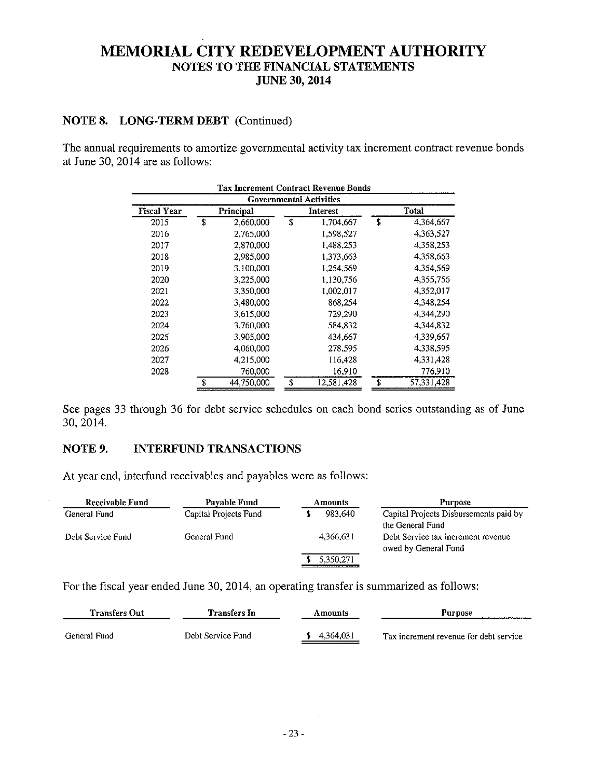#### NOTE 8. LONG-TERM DEBT (Continued)

The annual requirements to amortize governmental activity tax increment contract revenue bonds at June 30, 2014 are as follows:

| <b>Tax Increment Contract Revenue Bonds</b>                        |    |            |    |            |    |            |  |  |  |  |
|--------------------------------------------------------------------|----|------------|----|------------|----|------------|--|--|--|--|
| <b>Governmental Activities</b>                                     |    |            |    |            |    |            |  |  |  |  |
| <b>Fiscal Year</b><br><b>Total</b><br>Principal<br><b>Interest</b> |    |            |    |            |    |            |  |  |  |  |
| 2015                                                               | \$ | 2,660,000  | \$ | 1,704,667  | \$ | 4,364,667  |  |  |  |  |
| 2016                                                               |    | 2,765,000  |    | 1,598,527  |    | 4,363,527  |  |  |  |  |
| 2017                                                               |    | 2,870,000  |    | 1,488,253  |    | 4,358,253  |  |  |  |  |
| 2018                                                               |    | 2,985,000  |    | 1,373,663  |    | 4,358,663  |  |  |  |  |
| 2019                                                               |    | 3,100,000  |    | 1.254.569  |    | 4,354,569  |  |  |  |  |
| 2020                                                               |    | 3,225,000  |    | 1,130,756  |    | 4,355,756  |  |  |  |  |
| 2021                                                               |    | 3,350,000  |    | 1,002,017  |    | 4,352,017  |  |  |  |  |
| 2022                                                               |    | 3,480,000  |    | 868,254    |    | 4,348,254  |  |  |  |  |
| 2023                                                               |    | 3,615,000  |    | 729,290    |    | 4,344,290  |  |  |  |  |
| 2024                                                               |    | 3.760.000  |    | 584,832    |    | 4.344.832  |  |  |  |  |
| 2025                                                               |    | 3,905,000  |    | 434,667    |    | 4,339,667  |  |  |  |  |
| 2026                                                               |    | 4,060,000  |    | 278,595    |    | 4,338.595  |  |  |  |  |
| 2027                                                               |    | 4,215,000  |    | 116,428    |    | 4,331,428  |  |  |  |  |
| 2028                                                               |    | 760,000    |    | 16,910     |    | 776,910    |  |  |  |  |
|                                                                    | \$ | 44,750,000 | \$ | 12,581,428 | \$ | 57,331,428 |  |  |  |  |

See pages 33 through 36 for debt service schedules on each bond series outstanding as of June 30, 2014.

#### NOTE 9. INTERFUND TRANSACTIONS

At year end, interfund receivables and payables were as follows:

| Receivable Fund   | Payable Fund          | <b>Amounts</b> | Purpose                                                    |
|-------------------|-----------------------|----------------|------------------------------------------------------------|
| General Fund      | Capital Projects Fund | 983.640        | Capital Projects Disbursements paid by<br>the General Fund |
| Debt Service Fund | General Fund          | 4,366,631      | Debt Service tax increment revenue<br>owed by General Fund |
|                   |                       | 5,350,271      |                                                            |

For the fiscal year ended June 30, 2014, an operating transfer is summarized as follows:

| <b>Transfers Out</b> | <b>Transfers</b> In | Amounts   | Purpose                                |
|----------------------|---------------------|-----------|----------------------------------------|
| General Fund         | Debt Service Fund   | 4.364.031 | Tax increment revenue for debt service |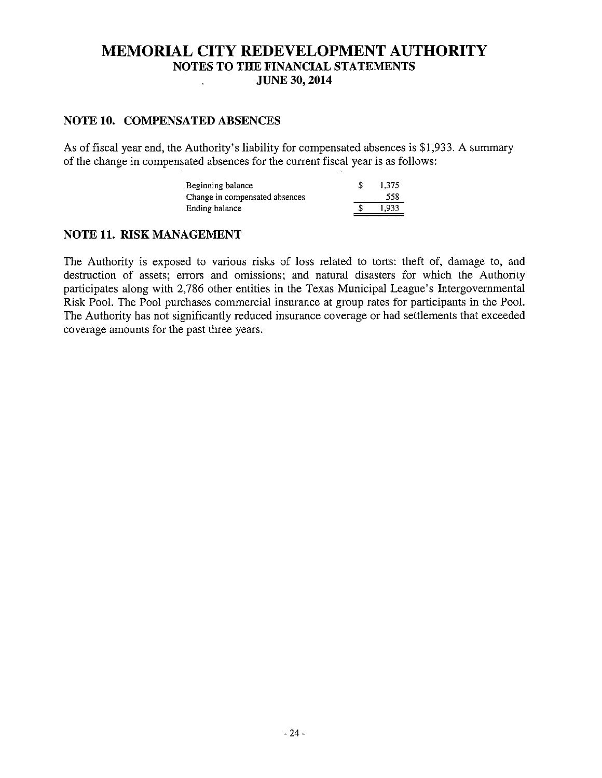#### MEMORIAL CITY REDEVELOPMENT AUTHORITY NOTES TO THE FINANCIAL STATEMENTS JUNE 30, 2014  $\ddot{\phantom{0}}$

#### NOTE 10. COMPENSATED ABSENCES

As of fiscal year end, the Authority's liability for compensated absences is \$1,933. A summary of the change in compensated absences for the current fiscal year is as follows:

| Beginning balance              | £ | 1.375 |
|--------------------------------|---|-------|
| Change in compensated absences |   | 558   |
| Ending balance                 |   | 1.933 |

#### NOTE 11. RISK MANAGEMENT

The Authority is exposed to various risks of loss related to torts: theft of, damage to, and destruction of assets; errors and omissions; and natural disasters for which the Authority participates along with 2,786 other entities in the Texas Municipal League's Intergovernmental Risk Pool. The Pool purchases commercial insurance at group rates for participants in the Pool. The Authority has not significantly reduced insurance coverage or had settlements that exceeded coverage amounts for the past three years.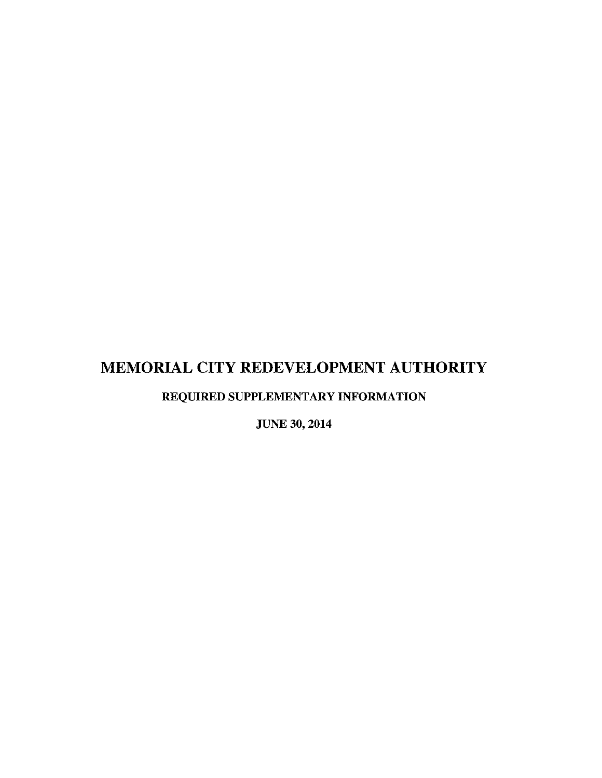# MEMORIAL CITY REDEVELOPMENT AUTHORITY

REQUIRED SUPPLEMENTARY INFORMATION

JUNE 30, 2014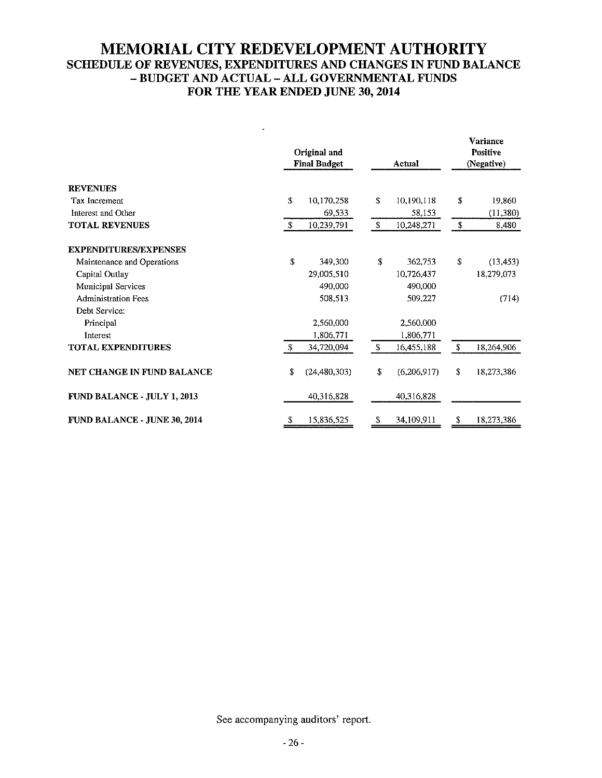## MEMORIAL CITY REDEVELOPMENT AUTHORITY SCHEDULE OF REVENUES, EXPENDITURES AND CHANGES IN FUND BALANCE - BUDGET AND ACTUAL - ALL GOVERNMENTAL FUNDS FOR THE YEAR ENDED JUNE 30, 2014

 $\omega_{\rm c}$ 

|                                    |              | Original and<br><b>Final Budget</b> | Actual            |    | <b>Variance</b><br><b>Positive</b><br>(Negative) |
|------------------------------------|--------------|-------------------------------------|-------------------|----|--------------------------------------------------|
| <b>REVENUES</b>                    |              |                                     |                   |    |                                                  |
| Tax Increment                      | \$           | 10,170,258                          | \$<br>10,190,118  | \$ | 19,860                                           |
| Interest and Other                 |              | 69,533                              | 58,153            |    | (11,380)                                         |
| <b>TOTAL REVENUES</b>              | -\$          | 10,239,791                          | \$<br>10,248,271  | \$ | 8,480                                            |
| <b>EXPENDITURES/EXPENSES</b>       |              |                                     |                   |    |                                                  |
| Maintenance and Operations         | \$           | 349,300                             | \$<br>362,753     | \$ | (13, 453)                                        |
| Capital Outlay                     |              | 29,005,510                          | 10,726,437        |    | 18,279,073                                       |
| <b>Municipal Services</b>          |              | 490,000                             | 490,000           |    |                                                  |
| <b>Administration Fees</b>         |              | 508,513                             | 509,227           |    | (714)                                            |
| Debt Service:                      |              |                                     |                   |    |                                                  |
| Principal                          |              | 2,560,000                           | 2,560,000         |    |                                                  |
| Interest                           |              | 1,806,771                           | 1,806,771         |    |                                                  |
| TOTAL EXPENDITURES                 | $\mathbf{r}$ | 34,720,094                          | \$<br>16,455,188  | \$ | 18,264,906                                       |
| NET CHANGE IN FUND BALANCE         | \$           | (24, 480, 303)                      | \$<br>(6,206,917) | \$ | 18,273,386                                       |
| <b>FUND BALANCE - JULY 1, 2013</b> |              | 40,316,828                          | 40,316,828        |    |                                                  |
| FUND BALANCE - JUNE 30, 2014       |              | 15,836,525                          | 34,109,911        | S  | 18,273,386                                       |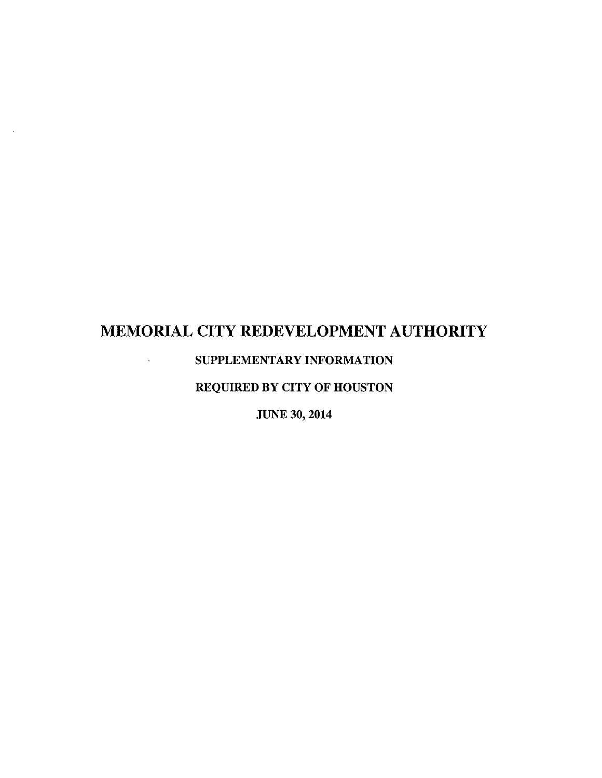# MEMORIAL CITY REDEVELOPMENT AUTHORITY

 $\sim$ 

## SUPPLEMENTARY INFORMATION

 $\mathcal{L}^{(1)}$  .

## REQUIRED BY CITY OF HOUSTON

JUNE 30, 2014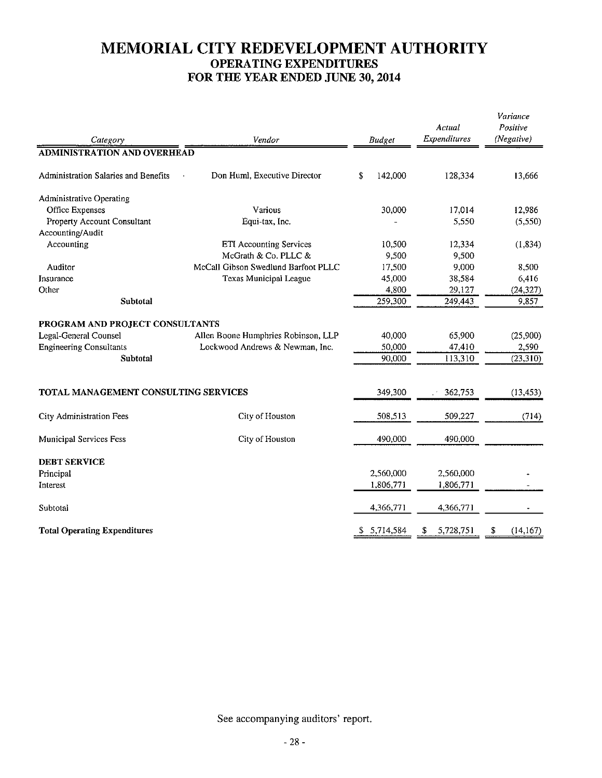## MEMORIAL CITY REDEVELOPMENT AUTHORITY OPERATING EXPENDITURES FOR THE YEAR ENDED JUNE 30, 2014

| Category                             | Vendor                              |    | <b>Budget</b> | Actual<br>Expenditures | Variance<br>Positive<br>(Negative) |
|--------------------------------------|-------------------------------------|----|---------------|------------------------|------------------------------------|
| ADMINISTRATION AND OVERHEAD          |                                     |    |               |                        |                                    |
| Administration Salaries and Benefits | Don Huml, Executive Director        | \$ | 142,000       | 128,334                | 13,666                             |
| <b>Administrative Operating</b>      |                                     |    |               |                        |                                    |
| Various<br>Office Expenses           |                                     |    | 30,000        | 17,014                 | 12,986                             |
| Property Account Consultant          | Equi-tax, Inc.                      |    |               | 5,550                  | (5,550)                            |
| Accounting/Audit                     |                                     |    |               |                        |                                    |
| Accounting                           | <b>ETI Accounting Services</b>      |    | 10,500        | 12,334                 | (1, 834)                           |
|                                      | McGrath & Co. PLLC &                |    | 9,500         | 9,500                  |                                    |
| Auditor                              | McCall Gibson Swedlund Barfoot PLLC |    | 17,500        | 9,000                  | 8,500                              |
| Insurance                            | <b>Texas Municipal League</b>       |    | 45,000        | 38,584                 | 6,416                              |
| Other                                |                                     |    | 4,800         | 29,127                 | (24, 327)                          |
| <b>Subtotal</b>                      |                                     |    | 259,300       | 249,443                | 9,857                              |
|                                      |                                     |    |               |                        |                                    |
| PROGRAM AND PROJECT CONSULTANTS      |                                     |    |               |                        |                                    |
| Legal-General Counsel                | Allen Boone Humphries Robinson, LLP |    | 40,000        | 65,900                 | (25,900)                           |
| <b>Engineering Consultants</b>       | Lockwood Andrews & Newman, Inc.     |    | 50,000        | 47,410                 | 2.590                              |
| Subtotal                             |                                     |    | 90,000        | 113,310                | (23,310)                           |
| TOTAL MANAGEMENT CONSULTING SERVICES |                                     |    | 349,300       | 362,753                | (13, 453)                          |
| City Administration Fees             | City of Houston                     |    | 508,513       | 509,227                | (714)                              |
| <b>Municipal Services Fess</b>       | City of Houston                     |    | 490,000       | 490,000                |                                    |
| <b>DEBT SERVICE</b>                  |                                     |    |               |                        |                                    |
| Principal                            |                                     |    | 2,560,000     | 2,560,000              |                                    |
| Interest                             |                                     |    | 1,806,771     | 1,806,771              |                                    |
| Subtotal                             |                                     |    | 4,366,771     | 4,366,771              |                                    |
| <b>Total Operating Expenditures</b>  |                                     |    | \$5,714,584   | 5,728,751<br>S         | \$<br>(14, 167)                    |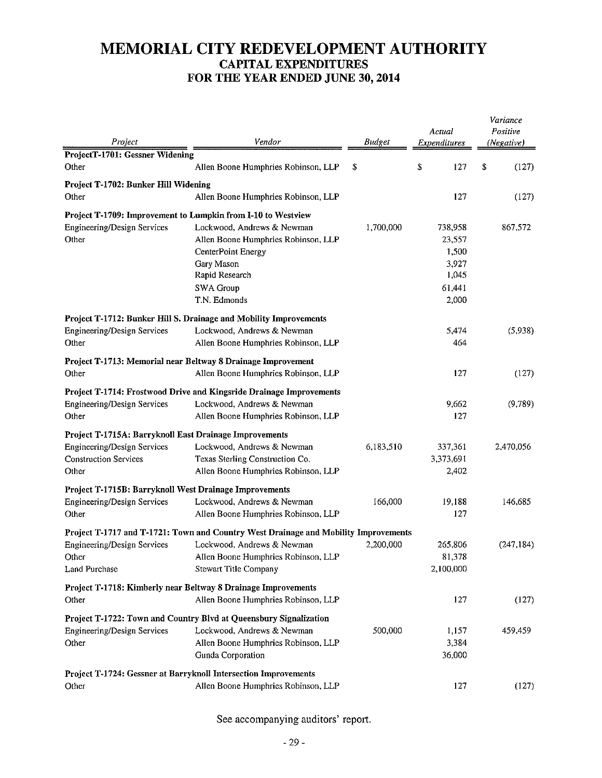## MEMORIAL CITY REDEVELOPMENT AUTHORITY CAPITAL EXPENDITURES FOR THE YEAR ENDED JUNE 30, 2014

| Project                                                       | Vendor                                                                              | Budget    | Actual<br><b>Expenditures</b> | Variance<br>Positive<br>(Negative) |
|---------------------------------------------------------------|-------------------------------------------------------------------------------------|-----------|-------------------------------|------------------------------------|
| <b>ProjectT-1701: Gessner Widening</b>                        |                                                                                     |           |                               |                                    |
| Other                                                         | Allen Boone Humphries Robinson, LLP                                                 | \$        | \$<br>127                     | \$<br>(127)                        |
| Project T-1702: Bunker Hill Widening                          |                                                                                     |           |                               |                                    |
| Other                                                         | Allen Boone Humphries Robinson, LLP                                                 |           | 127                           | (127)                              |
|                                                               | Project T-1709: Improvement to Lumpkin from I-10 to Westview                        |           |                               |                                    |
| Engineering/Design Services                                   | Lockwood, Andrews & Newman                                                          | 1,700,000 | 738,958                       | 867,572                            |
| Other                                                         | Allen Boone Humphries Robinson, LLP                                                 |           | 23,557                        |                                    |
|                                                               | CenterPoint Energy                                                                  |           | 1,500                         |                                    |
|                                                               | Gary Mason                                                                          |           | 3,927                         |                                    |
|                                                               | Rapid Research                                                                      |           | 1,045                         |                                    |
|                                                               | SWA Group                                                                           |           | 61,441                        |                                    |
|                                                               | T.N. Edmonds                                                                        |           | 2,000                         |                                    |
|                                                               | Project T-1712: Bunker Hill S. Drainage and Mobility Improvements                   |           |                               |                                    |
| <b>Engineering/Design Services</b>                            | Lockwood, Andrews & Newman                                                          |           | 5,474                         | (5,938)                            |
| Other                                                         | Allen Boone Humphries Robinson, LLP                                                 |           | 464                           |                                    |
|                                                               | Project T-1713: Memorial near Beltway 8 Drainage Improvement                        |           |                               |                                    |
| Other                                                         | Allen Boone Humphries Robinson, LLP                                                 |           | 127                           | (127)                              |
|                                                               | Project T-1714: Frostwood Drive and Kingsride Drainage Improvements                 |           |                               |                                    |
| <b>Engineering/Design Services</b>                            | Lockwood, Andrews & Newman                                                          |           | 9,662                         | (9,789)                            |
| Other                                                         | Allen Boone Humphries Robinson, LLP                                                 |           | 127                           |                                    |
| Project T-1715A: Barryknoll East Drainage Improvements        |                                                                                     |           |                               |                                    |
| <b>Engineering/Design Services</b>                            | Lockwood, Andrews & Newman                                                          | 6,183,510 | 337,361                       | 2,470,056                          |
| <b>Construction Services</b>                                  | Texas Sterling Construction Co.                                                     |           | 3,373,691                     |                                    |
| Other                                                         | Allen Boone Humphries Robinson, LLP                                                 |           | 2,402                         |                                    |
| <b>Project T-1715B: Barryknoll West Drainage Improvements</b> |                                                                                     |           |                               |                                    |
| <b>Engineering/Design Services</b>                            | Lockwood, Andrews & Newman                                                          | 166,000   | 19,188                        | 146,685                            |
| Other                                                         | Allen Boone Humphries Robinson, LLP                                                 |           | 127                           |                                    |
|                                                               | Project T-1717 and T-1721: Town and Country West Drainage and Mobility Improvements |           |                               |                                    |
| <b>Engineering/Design Services</b>                            | Lockwood, Andrews & Newman                                                          | 2,200,000 | 265,806                       | (247, 184)                         |
| Other                                                         | Allen Boone Humphries Robinson, LLP                                                 |           | 81,378                        |                                    |
| Land Purchase                                                 | <b>Stewart Title Company</b>                                                        |           | 2,100,000                     |                                    |
|                                                               | Project T-1718: Kimberly near Beltway 8 Drainage Improvements                       |           |                               |                                    |
| Other                                                         | Allen Boone Humphries Robinson, LLP                                                 |           | 127                           | (127)                              |
|                                                               |                                                                                     |           |                               |                                    |
|                                                               | Project T-1722: Town and Country Blvd at Queensbury Signalization                   |           |                               |                                    |
| <b>Engineering/Design Services</b>                            | Lockwood, Andrews & Newman                                                          | 500,000   | 1,157                         | 459,459                            |
| Other                                                         | Allen Boone Humphries Robinson, LLP                                                 |           | 3,384<br>36,000               |                                    |
|                                                               | Gunda Corporation                                                                   |           |                               |                                    |
|                                                               | Project T-1724: Gessner at Barryknoll Intersection Improvements                     |           |                               |                                    |
| Other                                                         | Allen Boone Humphries Robinson, LLP                                                 |           | 127                           | (127)                              |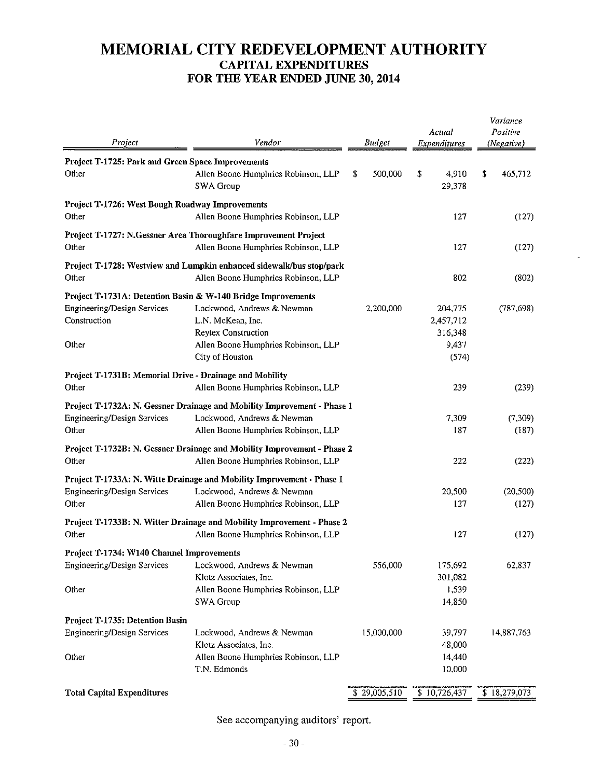## MEMORIAL CITY REDEVELOPMENT AUTHORITY CAPITAL EXPENDITURES FOR THE YEAR ENDED JUNE 30, 2014

| Project                                                          | Vendor                                                                                                                                                                                           | Budget       | Actual<br>Expenditures                            | Variance<br>Positive<br>(Negative) |
|------------------------------------------------------------------|--------------------------------------------------------------------------------------------------------------------------------------------------------------------------------------------------|--------------|---------------------------------------------------|------------------------------------|
| Project T-1725: Park and Green Space Improvements                |                                                                                                                                                                                                  |              |                                                   |                                    |
| Other                                                            | Allen Boone Humphries Robinson, LLP<br>SWA Group                                                                                                                                                 | S<br>500,000 | \$<br>4,910<br>29,378                             | \$<br>465,712                      |
| Project T-1726: West Bough Roadway Improvements<br>Other         | Allen Boone Humphries Robinson, LLP                                                                                                                                                              |              | 127                                               | (127)                              |
| Other                                                            | Project T-1727: N.Gessner Area Thoroughfare Improvement Project<br>Allen Boone Humphries Robinson, LLP                                                                                           |              | 127                                               | (127)                              |
| Other                                                            | Project T-1728: Westview and Lumpkin enhanced sidewalk/bus stop/park<br>Allen Boone Humphries Robinson, LLP                                                                                      |              | 802                                               | (802)                              |
| <b>Engineering/Design Services</b><br>Construction<br>Other      | Project T-1731A: Detention Basin & W-140 Bridge Improvements<br>Lockwood, Andrews & Newman<br>L.N. McKean, Inc.<br>Reytex Construction<br>Allen Boone Humphries Robinson, LLP<br>City of Houston | 2,200,000    | 204,775<br>2,457,712<br>316,348<br>9,437<br>(574) | (787, 698)                         |
| Project T-1731B: Memorial Drive - Drainage and Mobility<br>Other | Allen Boone Humphries Robinson, LLP                                                                                                                                                              |              | 239                                               | (239)                              |
| <b>Engineering/Design Services</b><br>Other                      | Project T-1732A: N. Gessner Drainage and Mobility Improvement - Phase 1<br>Lockwood, Andrews & Newman<br>Allen Boone Humphries Robinson, LLP                                                     |              | 7,309<br>187                                      | (7, 309)<br>(187)                  |
| Other                                                            | Project T-1732B: N. Gessner Drainage and Mobility Improvement - Phase 2<br>Allen Boone Humphries Robinson, LLP                                                                                   |              | 222                                               | (222)                              |
| <b>Engineering/Design Services</b><br>Other                      | Project T-1733A: N. Witte Drainage and Mobility Improvement - Phase 1<br>Lockwood, Andrews & Newman<br>Allen Boone Humphries Robinson, LLP                                                       |              | 20,500<br>127                                     | (20.500)<br>(127)                  |
| Other                                                            | Project T-1733B: N. Witter Drainage and Mobility Improvement - Phase 2<br>Allen Boone Humphries Robinson, LLP                                                                                    |              | 127                                               | (127)                              |
| Project T-1734: W140 Channel Improvements                        |                                                                                                                                                                                                  |              |                                                   |                                    |
| <b>Engineering/Design Services</b>                               | Lockwood, Andrews & Newman<br>Klotz Associates, Inc.                                                                                                                                             | 556,000      | 175,692<br>301,082                                | 62,837                             |
| Other                                                            | Allen Boone Humphries Robinson, LLP<br>SWA Group                                                                                                                                                 |              | 1,539<br>14,850                                   |                                    |
| Project T-1735: Detention Basin                                  |                                                                                                                                                                                                  |              |                                                   |                                    |
| <b>Engineering/Design Services</b>                               | Lockwood, Andrews & Newman<br>Klotz Associates, Inc.                                                                                                                                             | 15,000,000   | 39,797<br>48,000                                  | 14,887,763                         |
| Other                                                            | Allen Boone Humphries Robinson, LLP<br>T.N. Edmonds                                                                                                                                              |              | 14,440<br>10,000                                  |                                    |
| <b>Total Capital Expenditures</b>                                |                                                                                                                                                                                                  | \$29,005,510 | \$10,726,437                                      | \$18,279,073                       |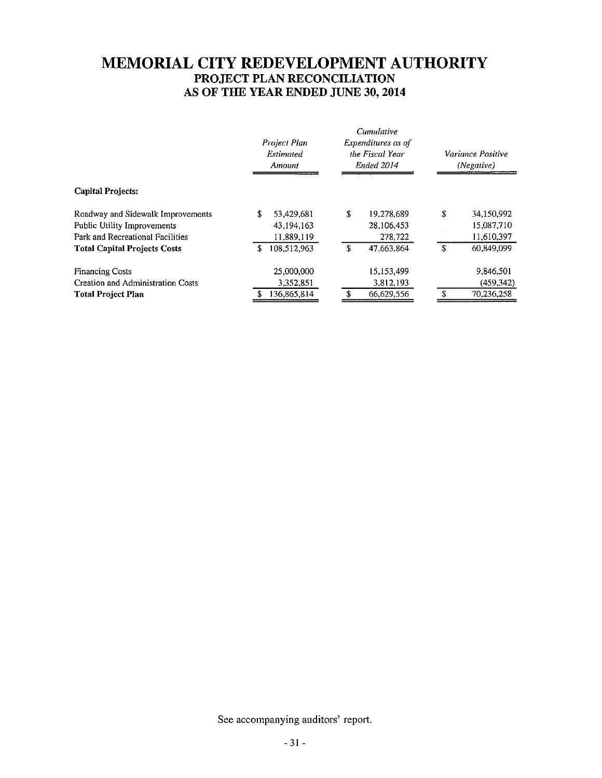## MEMORIAL CITY REDEVELOPMENT AUTHORITY PROJECT PLAN RECONCILIATION AS OF THE YEAR ENDED JUNE 30, 2014

|                                     | Cumulative        |                    |    |                   |  |  |
|-------------------------------------|-------------------|--------------------|----|-------------------|--|--|
|                                     | Project Plan      | Expenditures as of |    |                   |  |  |
|                                     | Estimated         | the Fiscal Year    |    | Variance Positive |  |  |
|                                     | Amount            | Ended 2014         |    | (Negative)        |  |  |
| <b>Capital Projects:</b>            |                   |                    |    |                   |  |  |
| Roadway and Sidewalk Improvements   | 53,429.681        | \$<br>19,278,689   | \$ | 34.150.992        |  |  |
| Public Utility Improvements         | 43.194.163        | 28,106,453         |    | 15.087,710        |  |  |
| Park and Recreational Facilities    | 11,889,119        | 278,722            |    | 11.610.397        |  |  |
| <b>Total Capital Projects Costs</b> | 108,512,963<br>\$ | \$<br>47.663.864   | S  | 60.849,099        |  |  |
| <b>Financing Costs</b>              | 25,000,000        | 15,153,499         |    | 9,846,501         |  |  |
| Creation and Administration Costs   | 3.352.851         | 3,812,193          |    | (459, 342)        |  |  |
| <b>Total Project Plan</b>           | 136,865,814       | Φ<br>66,629,556    |    | 70,236,258        |  |  |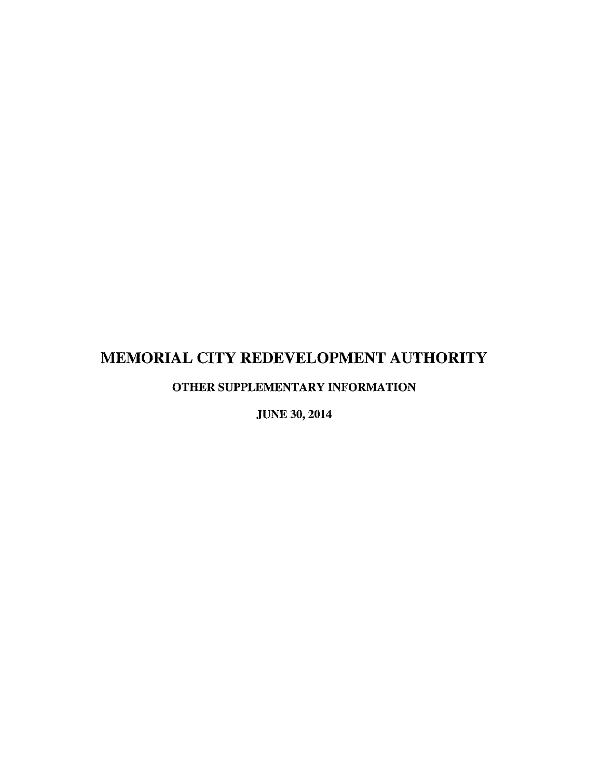# MEMORIAL CITY REDEVELOPMENT AUTHORITY

OTHER SUPPLEMENTARY INFORMATION

JUNE 30, 2014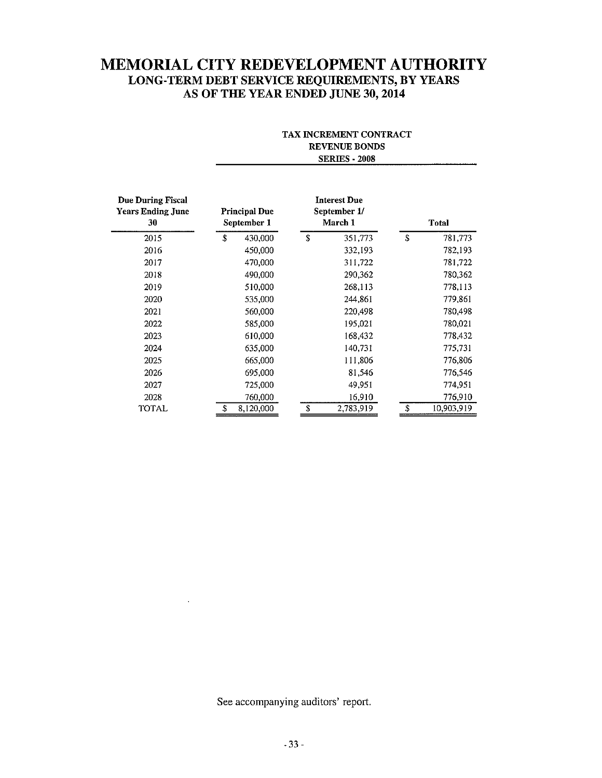#### TAX INCREMENT CONTRACT REVENUE BONDS SERIES - 2008

| <b>Due During Fiscal</b><br><b>Years Ending June</b><br>30 | <b>Principal Due</b><br>September 1 | <b>Interest Due</b><br>September 1/<br>March 1 | Total           |
|------------------------------------------------------------|-------------------------------------|------------------------------------------------|-----------------|
| 2015                                                       | \$<br>430,000                       | Ĵ.<br>351,773                                  | \$<br>781,773   |
| 2016                                                       | 450,000                             | 332,193                                        | 782,193         |
| 2017                                                       | 470,000                             | 311,722                                        | 781,722         |
| 2018                                                       | 490,000                             | 290,362                                        | 780,362         |
| 2019                                                       | 510,000                             | 268,113                                        | 778,113         |
| 2020                                                       | 535,000                             | 244,861                                        | 779,861         |
| 2021                                                       | 560,000                             | 220,498                                        | 780,498         |
| 2022                                                       | 585,000                             | 195,021                                        | 780,021         |
| 2023                                                       | 610,000                             | 168,432                                        | 778,432         |
| 2024                                                       | 635,000                             | 140,731                                        | 775,731         |
| 2025                                                       | 665,000                             | 111,806                                        | 776,806         |
| 2026                                                       | 695,000                             | 81,546                                         | 776,546         |
| 2027                                                       | 725,000                             | 49,951                                         | 774,951         |
| 2028                                                       | 760,000                             | 16,910                                         | 776,910         |
| TOTAL                                                      | 8.120,000                           | \$<br>2,783,919                                | S<br>10,903,919 |

See accompanying auditors' report.

 $\mathcal{A}^{\pm}$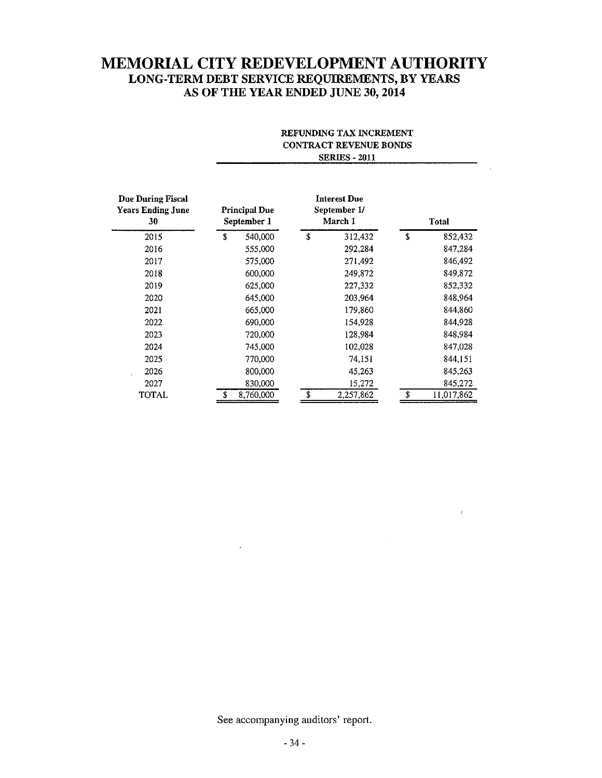#### REFUNDING TAX INCREMENT CONTRACT REVENUE BONDS SERIES -2011

 $\ddot{\phantom{a}}$ 

 $\mathcal{A}^{\mathrm{c}}$  .

| <b>Due During Fiscal</b><br><b>Years Ending June</b><br>30 |   | <b>Principal Due</b><br>September 1 |  | <b>Interest Due</b><br>September 1/<br>March 1 |           |    | Total      |
|------------------------------------------------------------|---|-------------------------------------|--|------------------------------------------------|-----------|----|------------|
| 2015                                                       | £ | 540,000                             |  | \$                                             | 312,432   | \$ | 852,432    |
| 2016                                                       |   | 555,000                             |  |                                                | 292,284   |    | 847,284    |
| 2017                                                       |   | 575,000                             |  |                                                | 271,492   |    | 846,492    |
| 2018                                                       |   | 600,000                             |  |                                                | 249,872   |    | 849,872    |
| 2019                                                       |   | 625,000                             |  |                                                | 227,332   |    | 852,332    |
| 2020                                                       |   | 645,000                             |  |                                                | 203,964   |    | 848,964    |
| 2021                                                       |   | 665,000                             |  |                                                | 179,860   |    | 844,860    |
| 2022                                                       |   | 690,000                             |  |                                                | 154,928   |    | 844,928    |
| 2023                                                       |   | 720,000                             |  |                                                | 128.984   |    | 848,984    |
| 2024                                                       |   | 745,000                             |  |                                                | 102,028   |    | 847,028    |
| 2025                                                       |   | 770,000                             |  |                                                | 74,151    |    | 844,151    |
| 2026                                                       |   | 800,000                             |  |                                                | 45,263    |    | 845,263    |
| 2027                                                       |   | 830,000                             |  |                                                | 15,272    |    | 845,272    |
| <b>TOTAL</b>                                               |   | 8,760,000                           |  |                                                | 2,257,862 | \$ | 11,017,862 |

See accompanying auditors' report.

 $\sim$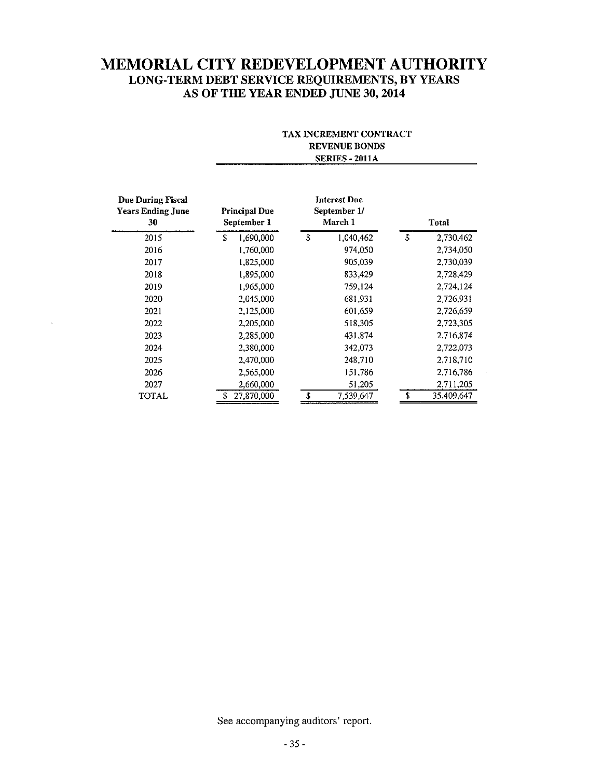#### TAX INCREMENT CONTRACT REVENUE BONDS SERIES - 2011A

 $\mathcal{A}^{\pm}$ 

| <b>Due During Fiscal</b><br><b>Years Ending June</b><br>30 | <b>Principal Due</b><br>September 1 | <b>Interest Due</b><br>September 1/<br><b>March 1</b> | <b>Total</b>     |
|------------------------------------------------------------|-------------------------------------|-------------------------------------------------------|------------------|
| 2015                                                       | 1,690,000<br>\$                     | \$<br>1,040,462                                       | \$<br>2,730,462  |
| 2016                                                       | 1,760,000                           | 974,050                                               | 2,734,050        |
| 2017                                                       | 1,825,000                           | 905,039                                               | 2,730,039        |
| 2018                                                       | 1,895,000                           | 833,429                                               | 2,728,429        |
| 2019                                                       | 1,965,000                           | 759,124                                               | 2,724,124        |
| 2020                                                       | 2,045,000                           | 681,931                                               | 2,726,931        |
| 2021                                                       | 2,125,000                           | 601,659                                               | 2,726,659        |
| 2022                                                       | 2,205,000                           | 518,305                                               | 2,723,305        |
| 2023                                                       | 2,285,000                           | 431,874                                               | 2,716,874        |
| 2024                                                       | 2,380,000                           | 342,073                                               | 2,722,073        |
| 2025                                                       | 2,470,000                           | 248,710                                               | 2,718,710        |
| 2026                                                       | 2,565,000                           | 151,786                                               | 2,716,786        |
| 2027                                                       | 2,660,000                           | 51,205                                                | 2,711,205        |
| TOTAL                                                      | 27,870,000                          | 7,539,647                                             | ÷.<br>35,409,647 |

 $\sim$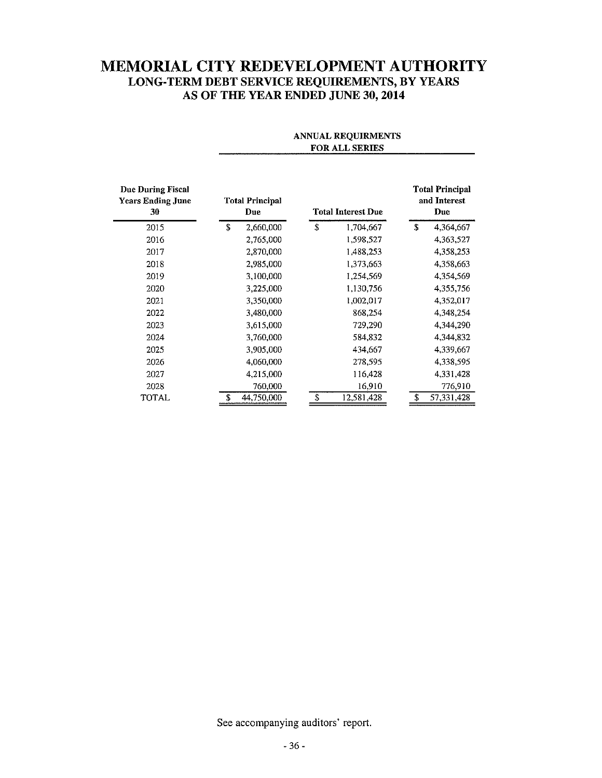| Due During Fiscal<br><b>Years Ending June</b><br>30 | <b>Total Principal</b><br>Due | <b>Total Interest Due</b> | <b>Total Principal</b><br>and Interest<br>Due |
|-----------------------------------------------------|-------------------------------|---------------------------|-----------------------------------------------|
| 2015                                                | \$<br>2,660,000               | \$<br>1,704,667           | \$<br>4,364,667                               |
| 2016                                                | 2,765,000                     | 1,598,527                 | 4,363,527                                     |
| 2017                                                | 2,870,000                     | 1,488,253                 | 4,358,253                                     |
| 2018                                                | 2,985,000                     | 1,373,663                 | 4,358,663                                     |
| 2019                                                | 3,100,000                     | 1,254,569                 | 4,354,569                                     |
| 2020                                                | 3,225,000                     | 1,130,756                 | 4,355,756                                     |
| 2021                                                | 3,350,000                     | 1,002,017                 | 4,352,017                                     |
| 2022                                                | 3,480,000                     | 868,254                   | 4,348,254                                     |
| 2023                                                | 3,615,000                     | 729,290                   | 4,344,290                                     |
| 2024                                                | 3,760,000                     | 584,832                   | 4,344,832                                     |
| 2025                                                | 3,905,000                     | 434,667                   | 4,339,667                                     |
| 2026                                                | 4,060,000                     | 278,595                   | 4,338,595                                     |
| 2027                                                | 4,215,000                     | 116,428                   | 4,331,428                                     |
| 2028                                                | 760,000                       | 16,910                    | 776,910                                       |
| TOTAL                                               | 44,750,000                    | \$<br>12,581,428          | \$<br>57,331,428                              |

#### ANNUAL REQUJRMENTS FOR ALL SERIES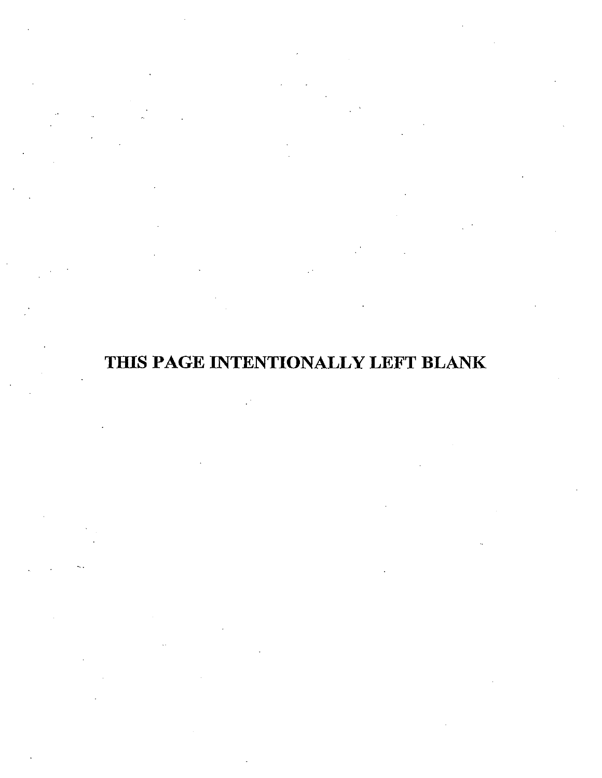# THIS PAGE INTENTIONALLY LEFT BLANK